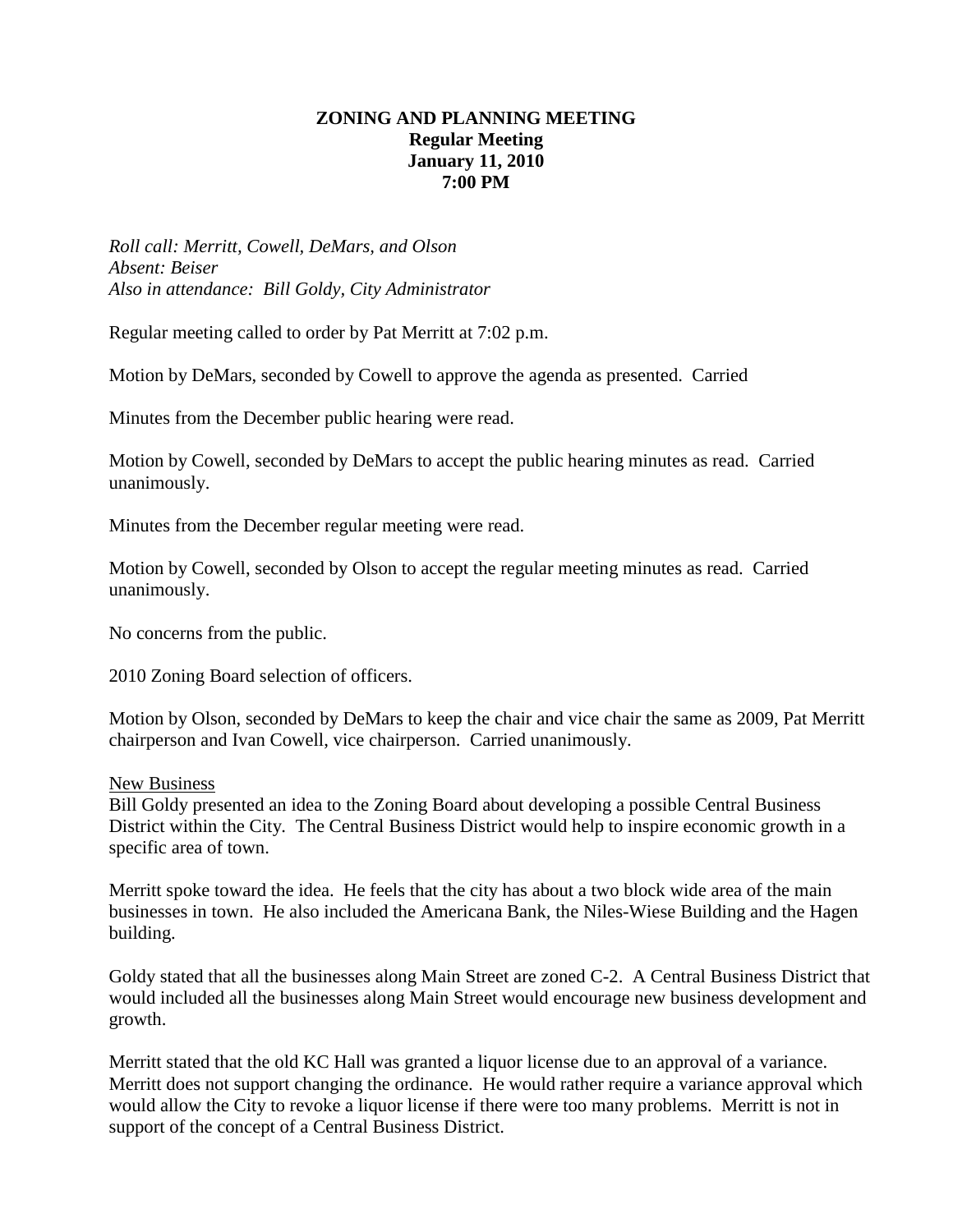## **ZONING AND PLANNING MEETING Regular Meeting January 11, 2010 7:00 PM**

*Roll call: Merritt, Cowell, DeMars, and Olson Absent: Beiser Also in attendance: Bill Goldy, City Administrator*

Regular meeting called to order by Pat Merritt at 7:02 p.m.

Motion by DeMars, seconded by Cowell to approve the agenda as presented. Carried

Minutes from the December public hearing were read.

Motion by Cowell, seconded by DeMars to accept the public hearing minutes as read. Carried unanimously.

Minutes from the December regular meeting were read.

Motion by Cowell, seconded by Olson to accept the regular meeting minutes as read. Carried unanimously.

No concerns from the public.

2010 Zoning Board selection of officers.

Motion by Olson, seconded by DeMars to keep the chair and vice chair the same as 2009, Pat Merritt chairperson and Ivan Cowell, vice chairperson. Carried unanimously.

New Business

Bill Goldy presented an idea to the Zoning Board about developing a possible Central Business District within the City. The Central Business District would help to inspire economic growth in a specific area of town.

Merritt spoke toward the idea. He feels that the city has about a two block wide area of the main businesses in town. He also included the Americana Bank, the Niles-Wiese Building and the Hagen building.

Goldy stated that all the businesses along Main Street are zoned C-2. A Central Business District that would included all the businesses along Main Street would encourage new business development and growth.

Merritt stated that the old KC Hall was granted a liquor license due to an approval of a variance. Merritt does not support changing the ordinance. He would rather require a variance approval which would allow the City to revoke a liquor license if there were too many problems. Merritt is not in support of the concept of a Central Business District.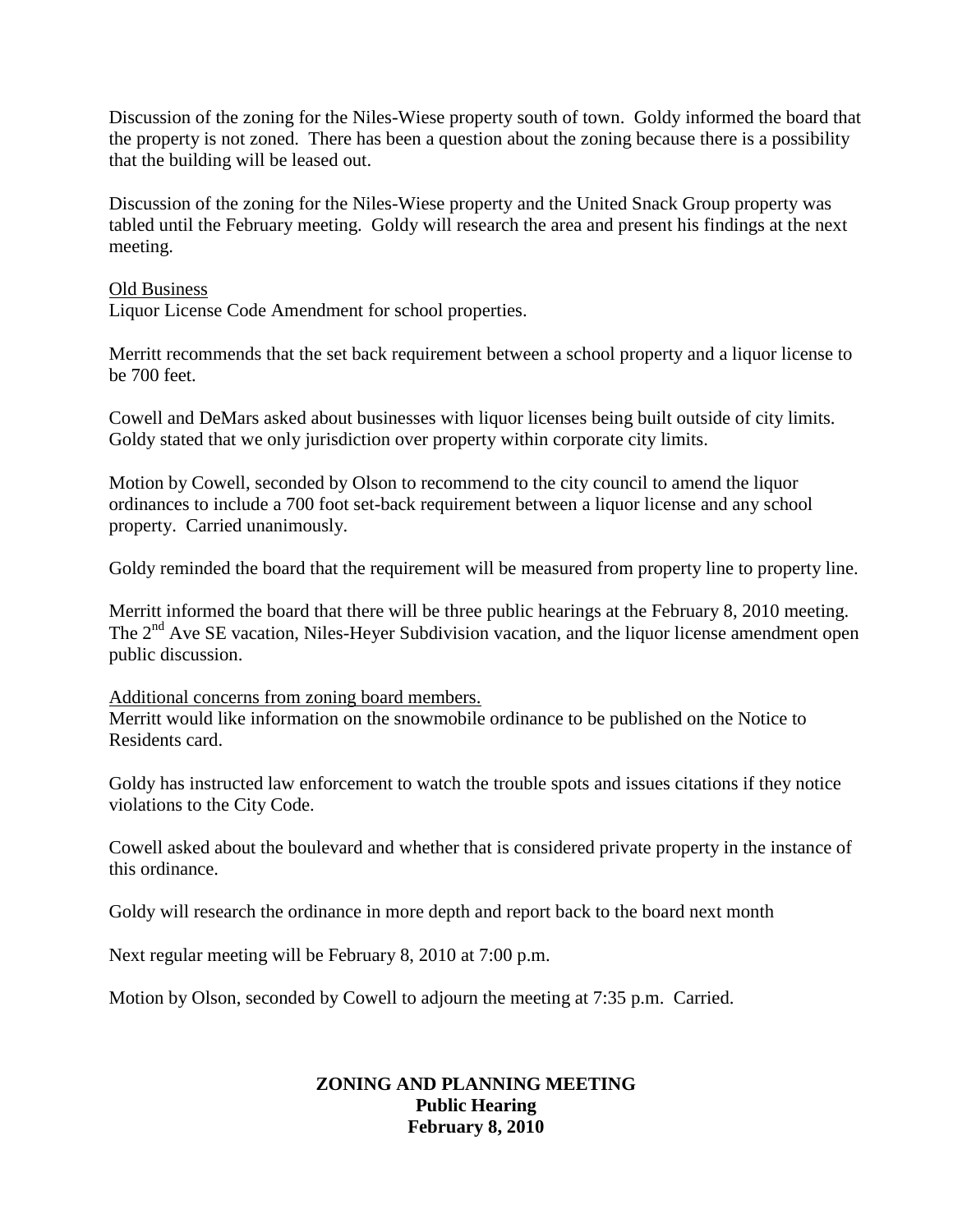Discussion of the zoning for the Niles-Wiese property south of town. Goldy informed the board that the property is not zoned. There has been a question about the zoning because there is a possibility that the building will be leased out.

Discussion of the zoning for the Niles-Wiese property and the United Snack Group property was tabled until the February meeting. Goldy will research the area and present his findings at the next meeting.

#### Old Business

Liquor License Code Amendment for school properties.

Merritt recommends that the set back requirement between a school property and a liquor license to be 700 feet.

Cowell and DeMars asked about businesses with liquor licenses being built outside of city limits. Goldy stated that we only jurisdiction over property within corporate city limits.

Motion by Cowell, seconded by Olson to recommend to the city council to amend the liquor ordinances to include a 700 foot set-back requirement between a liquor license and any school property. Carried unanimously.

Goldy reminded the board that the requirement will be measured from property line to property line.

Merritt informed the board that there will be three public hearings at the February 8, 2010 meeting. The 2<sup>nd</sup> Ave SE vacation, Niles-Heyer Subdivision vacation, and the liquor license amendment open public discussion.

Additional concerns from zoning board members.

Merritt would like information on the snowmobile ordinance to be published on the Notice to Residents card.

Goldy has instructed law enforcement to watch the trouble spots and issues citations if they notice violations to the City Code.

Cowell asked about the boulevard and whether that is considered private property in the instance of this ordinance.

Goldy will research the ordinance in more depth and report back to the board next month

Next regular meeting will be February 8, 2010 at 7:00 p.m.

Motion by Olson, seconded by Cowell to adjourn the meeting at 7:35 p.m. Carried.

### **ZONING AND PLANNING MEETING Public Hearing February 8, 2010**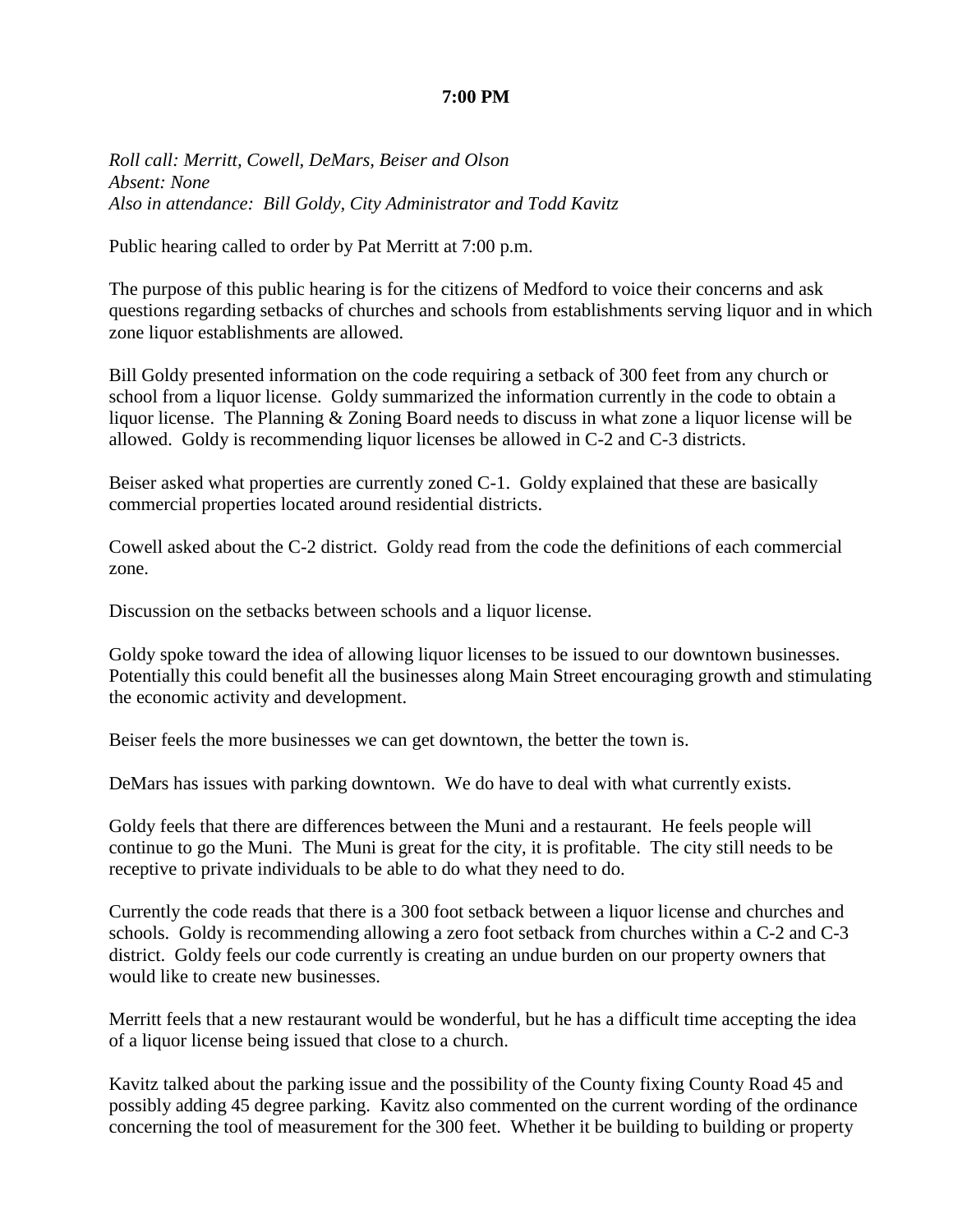#### **7:00 PM**

*Roll call: Merritt, Cowell, DeMars, Beiser and Olson Absent: None Also in attendance: Bill Goldy, City Administrator and Todd Kavitz*

Public hearing called to order by Pat Merritt at 7:00 p.m.

The purpose of this public hearing is for the citizens of Medford to voice their concerns and ask questions regarding setbacks of churches and schools from establishments serving liquor and in which zone liquor establishments are allowed.

Bill Goldy presented information on the code requiring a setback of 300 feet from any church or school from a liquor license. Goldy summarized the information currently in the code to obtain a liquor license. The Planning & Zoning Board needs to discuss in what zone a liquor license will be allowed. Goldy is recommending liquor licenses be allowed in C-2 and C-3 districts.

Beiser asked what properties are currently zoned C-1. Goldy explained that these are basically commercial properties located around residential districts.

Cowell asked about the C-2 district. Goldy read from the code the definitions of each commercial zone.

Discussion on the setbacks between schools and a liquor license.

Goldy spoke toward the idea of allowing liquor licenses to be issued to our downtown businesses. Potentially this could benefit all the businesses along Main Street encouraging growth and stimulating the economic activity and development.

Beiser feels the more businesses we can get downtown, the better the town is.

DeMars has issues with parking downtown. We do have to deal with what currently exists.

Goldy feels that there are differences between the Muni and a restaurant. He feels people will continue to go the Muni. The Muni is great for the city, it is profitable. The city still needs to be receptive to private individuals to be able to do what they need to do.

Currently the code reads that there is a 300 foot setback between a liquor license and churches and schools. Goldy is recommending allowing a zero foot setback from churches within a C-2 and C-3 district. Goldy feels our code currently is creating an undue burden on our property owners that would like to create new businesses.

Merritt feels that a new restaurant would be wonderful, but he has a difficult time accepting the idea of a liquor license being issued that close to a church.

Kavitz talked about the parking issue and the possibility of the County fixing County Road 45 and possibly adding 45 degree parking. Kavitz also commented on the current wording of the ordinance concerning the tool of measurement for the 300 feet. Whether it be building to building or property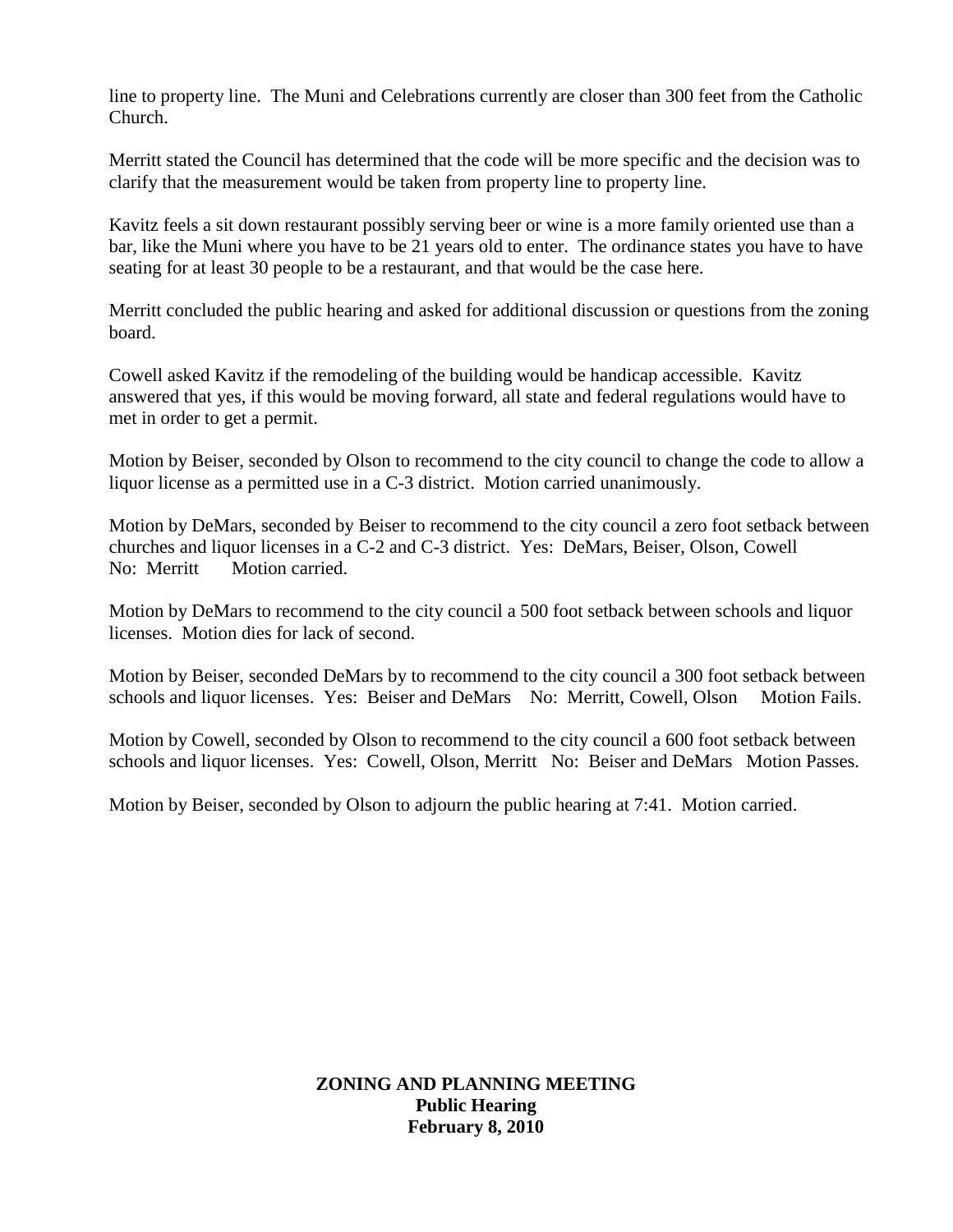line to property line. The Muni and Celebrations currently are closer than 300 feet from the Catholic Church.

Merritt stated the Council has determined that the code will be more specific and the decision was to clarify that the measurement would be taken from property line to property line.

Kavitz feels a sit down restaurant possibly serving beer or wine is a more family oriented use than a bar, like the Muni where you have to be 21 years old to enter. The ordinance states you have to have seating for at least 30 people to be a restaurant, and that would be the case here.

Merritt concluded the public hearing and asked for additional discussion or questions from the zoning board.

Cowell asked Kavitz if the remodeling of the building would be handicap accessible. Kavitz answered that yes, if this would be moving forward, all state and federal regulations would have to met in order to get a permit.

Motion by Beiser, seconded by Olson to recommend to the city council to change the code to allow a liquor license as a permitted use in a C-3 district. Motion carried unanimously.

Motion by DeMars, seconded by Beiser to recommend to the city council a zero foot setback between churches and liquor licenses in a C-2 and C-3 district. Yes: DeMars, Beiser, Olson, Cowell No: Merritt Motion carried.

Motion by DeMars to recommend to the city council a 500 foot setback between schools and liquor licenses. Motion dies for lack of second.

Motion by Beiser, seconded DeMars by to recommend to the city council a 300 foot setback between schools and liquor licenses. Yes: Beiser and DeMars No: Merritt, Cowell, Olson Motion Fails.

Motion by Cowell, seconded by Olson to recommend to the city council a 600 foot setback between schools and liquor licenses. Yes: Cowell, Olson, Merritt No: Beiser and DeMars Motion Passes.

Motion by Beiser, seconded by Olson to adjourn the public hearing at 7:41. Motion carried.

**ZONING AND PLANNING MEETING Public Hearing February 8, 2010**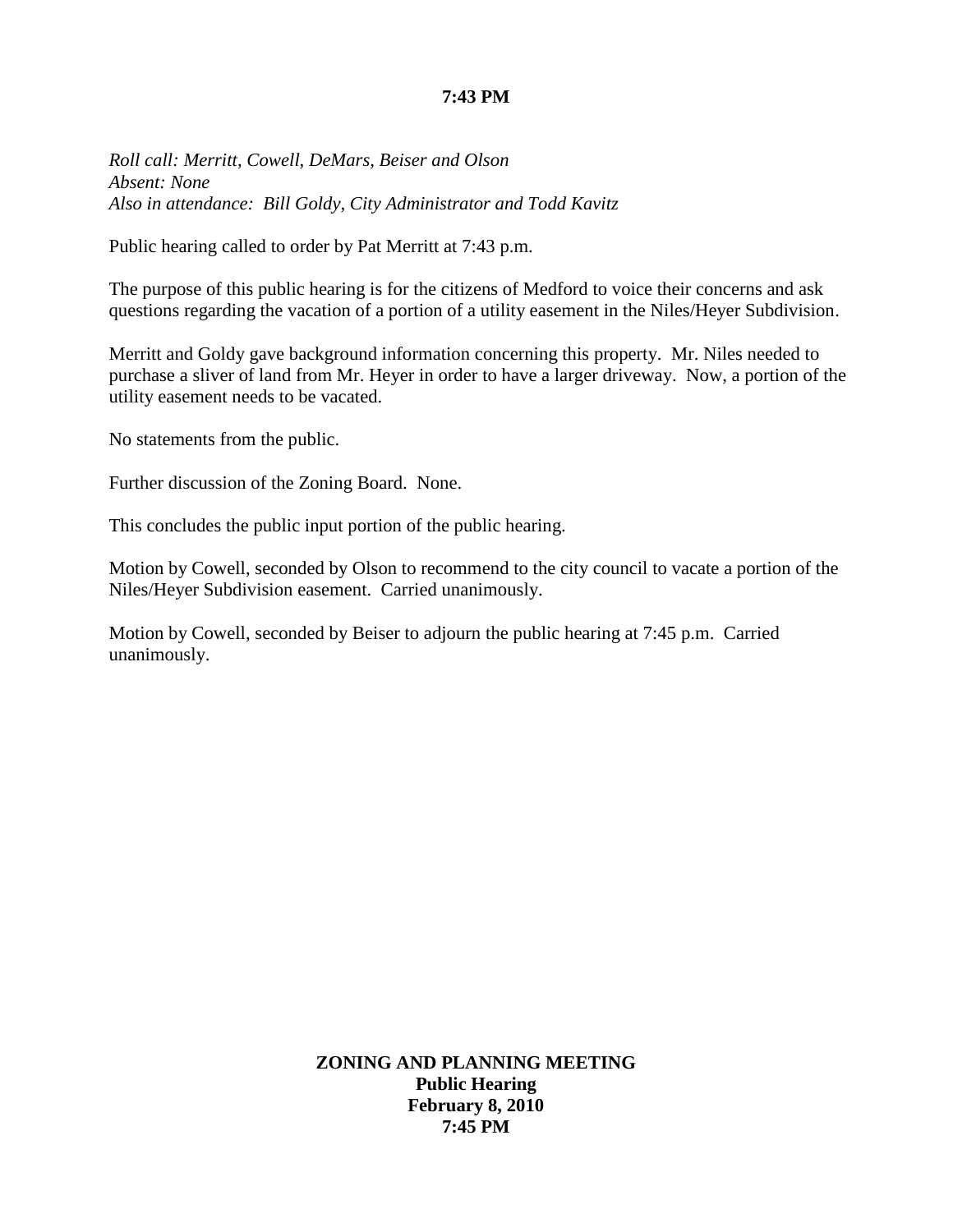### **7:43 PM**

*Roll call: Merritt, Cowell, DeMars, Beiser and Olson Absent: None Also in attendance: Bill Goldy, City Administrator and Todd Kavitz*

Public hearing called to order by Pat Merritt at 7:43 p.m.

The purpose of this public hearing is for the citizens of Medford to voice their concerns and ask questions regarding the vacation of a portion of a utility easement in the Niles/Heyer Subdivision.

Merritt and Goldy gave background information concerning this property. Mr. Niles needed to purchase a sliver of land from Mr. Heyer in order to have a larger driveway. Now, a portion of the utility easement needs to be vacated.

No statements from the public.

Further discussion of the Zoning Board. None.

This concludes the public input portion of the public hearing.

Motion by Cowell, seconded by Olson to recommend to the city council to vacate a portion of the Niles/Heyer Subdivision easement. Carried unanimously.

Motion by Cowell, seconded by Beiser to adjourn the public hearing at 7:45 p.m. Carried unanimously.

> **ZONING AND PLANNING MEETING Public Hearing February 8, 2010 7:45 PM**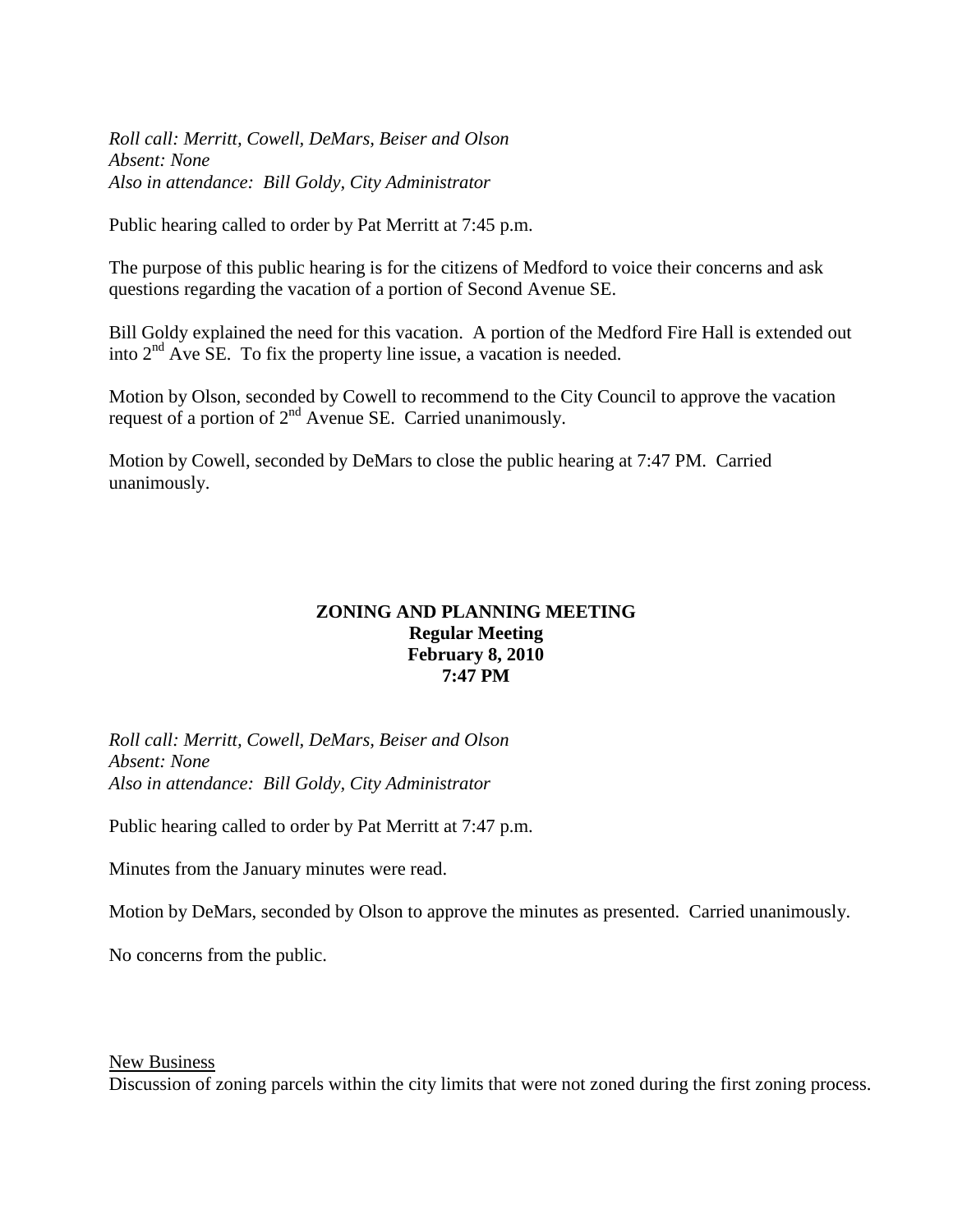*Roll call: Merritt, Cowell, DeMars, Beiser and Olson Absent: None Also in attendance: Bill Goldy, City Administrator*

Public hearing called to order by Pat Merritt at 7:45 p.m.

The purpose of this public hearing is for the citizens of Medford to voice their concerns and ask questions regarding the vacation of a portion of Second Avenue SE.

Bill Goldy explained the need for this vacation. A portion of the Medford Fire Hall is extended out into  $2<sup>nd</sup>$  Ave SE. To fix the property line issue, a vacation is needed.

Motion by Olson, seconded by Cowell to recommend to the City Council to approve the vacation request of a portion of  $2<sup>nd</sup>$  Avenue SE. Carried unanimously.

Motion by Cowell, seconded by DeMars to close the public hearing at 7:47 PM. Carried unanimously.

### **ZONING AND PLANNING MEETING Regular Meeting February 8, 2010 7:47 PM**

*Roll call: Merritt, Cowell, DeMars, Beiser and Olson Absent: None Also in attendance: Bill Goldy, City Administrator*

Public hearing called to order by Pat Merritt at 7:47 p.m.

Minutes from the January minutes were read.

Motion by DeMars, seconded by Olson to approve the minutes as presented. Carried unanimously.

No concerns from the public.

New Business

Discussion of zoning parcels within the city limits that were not zoned during the first zoning process.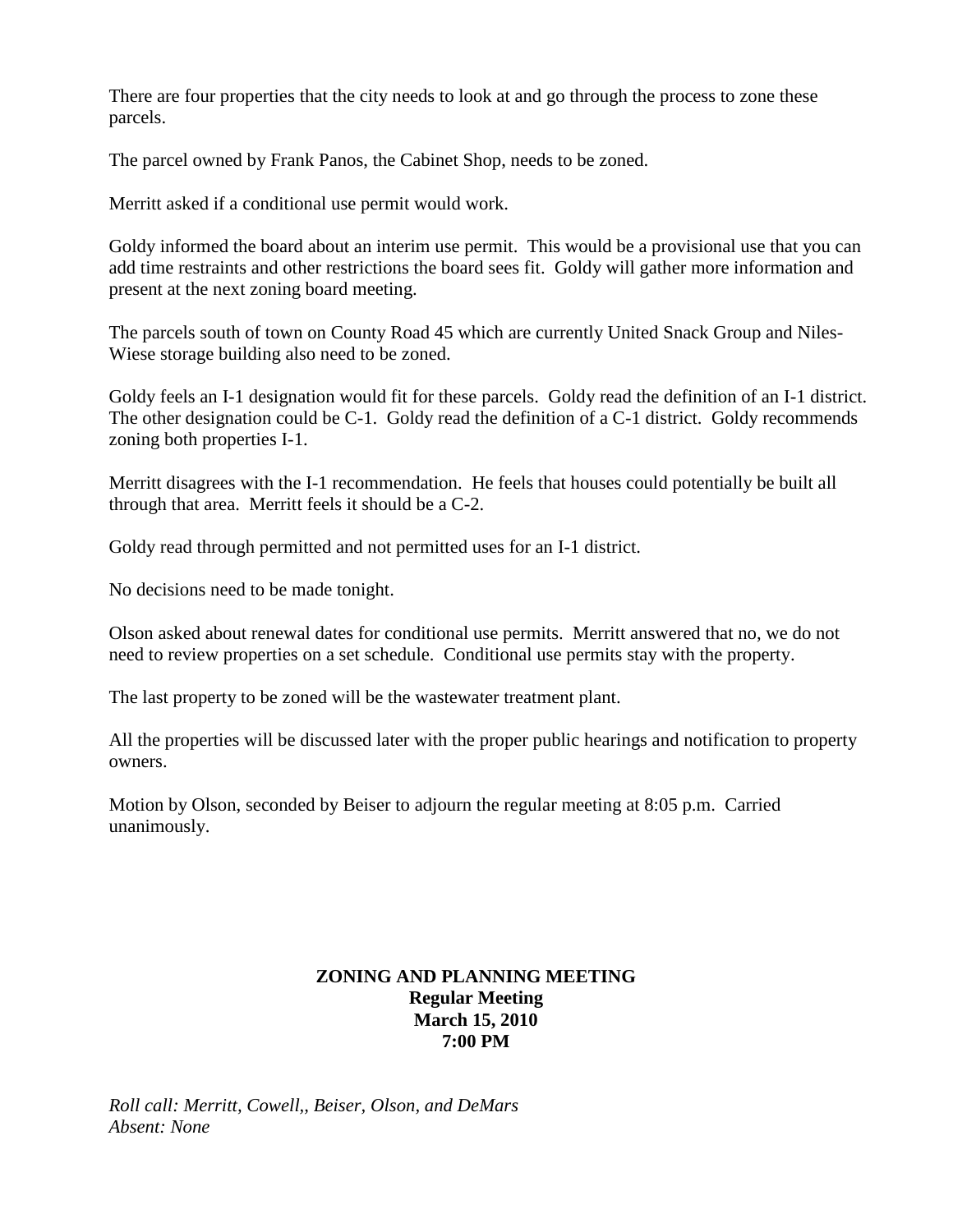There are four properties that the city needs to look at and go through the process to zone these parcels.

The parcel owned by Frank Panos, the Cabinet Shop, needs to be zoned.

Merritt asked if a conditional use permit would work.

Goldy informed the board about an interim use permit. This would be a provisional use that you can add time restraints and other restrictions the board sees fit. Goldy will gather more information and present at the next zoning board meeting.

The parcels south of town on County Road 45 which are currently United Snack Group and Niles-Wiese storage building also need to be zoned.

Goldy feels an I-1 designation would fit for these parcels. Goldy read the definition of an I-1 district. The other designation could be C-1. Goldy read the definition of a C-1 district. Goldy recommends zoning both properties I-1.

Merritt disagrees with the I-1 recommendation. He feels that houses could potentially be built all through that area. Merritt feels it should be a C-2.

Goldy read through permitted and not permitted uses for an I-1 district.

No decisions need to be made tonight.

Olson asked about renewal dates for conditional use permits. Merritt answered that no, we do not need to review properties on a set schedule. Conditional use permits stay with the property.

The last property to be zoned will be the wastewater treatment plant.

All the properties will be discussed later with the proper public hearings and notification to property owners.

Motion by Olson, seconded by Beiser to adjourn the regular meeting at 8:05 p.m. Carried unanimously.

# **ZONING AND PLANNING MEETING Regular Meeting March 15, 2010 7:00 PM**

*Roll call: Merritt, Cowell,, Beiser, Olson, and DeMars Absent: None*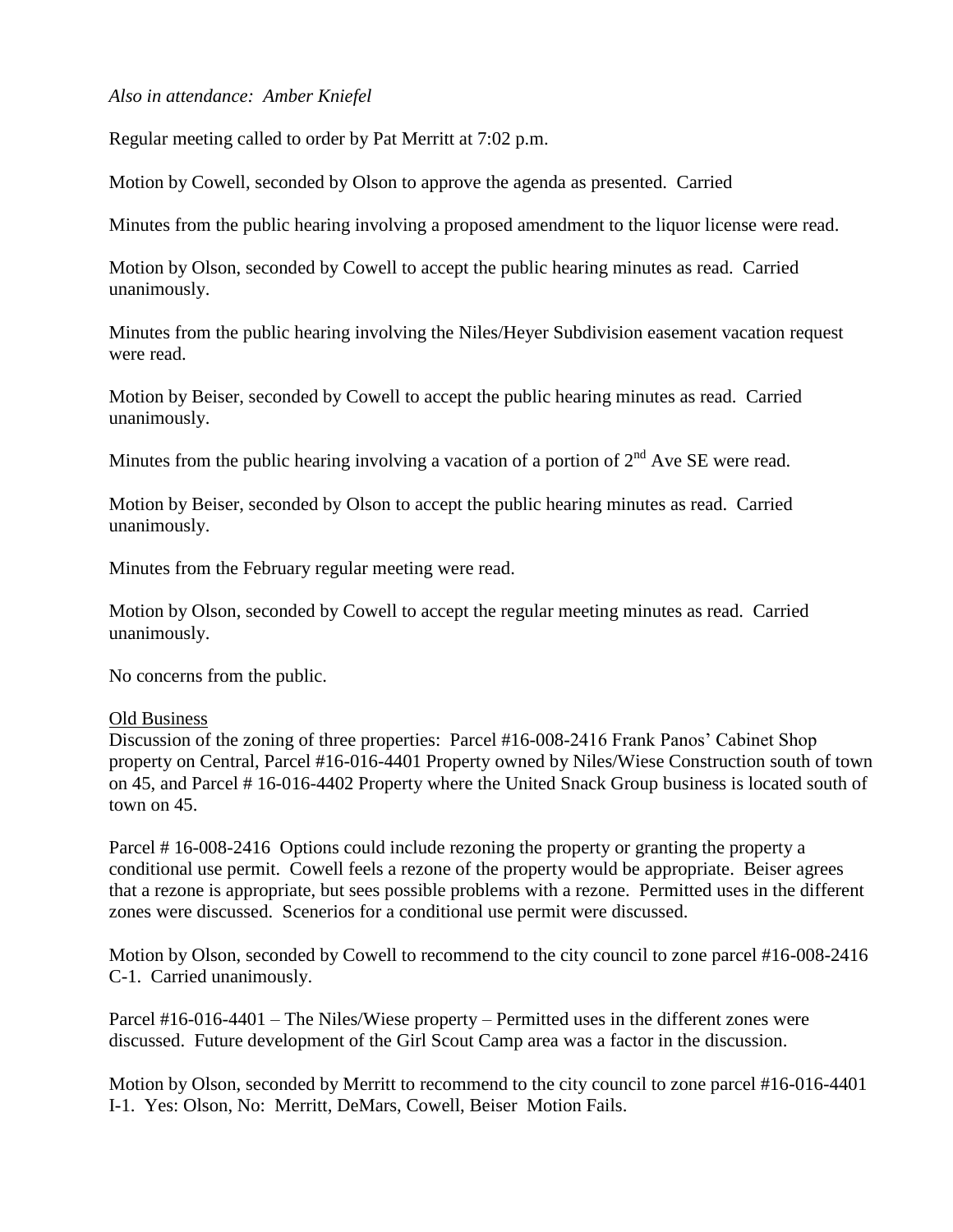#### *Also in attendance: Amber Kniefel*

Regular meeting called to order by Pat Merritt at 7:02 p.m.

Motion by Cowell, seconded by Olson to approve the agenda as presented. Carried

Minutes from the public hearing involving a proposed amendment to the liquor license were read.

Motion by Olson, seconded by Cowell to accept the public hearing minutes as read. Carried unanimously.

Minutes from the public hearing involving the Niles/Heyer Subdivision easement vacation request were read.

Motion by Beiser, seconded by Cowell to accept the public hearing minutes as read. Carried unanimously.

Minutes from the public hearing involving a vacation of a portion of  $2<sup>nd</sup>$  Ave SE were read.

Motion by Beiser, seconded by Olson to accept the public hearing minutes as read. Carried unanimously.

Minutes from the February regular meeting were read.

Motion by Olson, seconded by Cowell to accept the regular meeting minutes as read. Carried unanimously.

No concerns from the public.

#### Old Business

Discussion of the zoning of three properties: Parcel #16-008-2416 Frank Panos' Cabinet Shop property on Central, Parcel #16-016-4401 Property owned by Niles/Wiese Construction south of town on 45, and Parcel # 16-016-4402 Property where the United Snack Group business is located south of town on 45.

Parcel # 16-008-2416 Options could include rezoning the property or granting the property a conditional use permit. Cowell feels a rezone of the property would be appropriate. Beiser agrees that a rezone is appropriate, but sees possible problems with a rezone. Permitted uses in the different zones were discussed. Scenerios for a conditional use permit were discussed.

Motion by Olson, seconded by Cowell to recommend to the city council to zone parcel #16-008-2416 C-1. Carried unanimously.

Parcel #16-016-4401 – The Niles/Wiese property – Permitted uses in the different zones were discussed. Future development of the Girl Scout Camp area was a factor in the discussion.

Motion by Olson, seconded by Merritt to recommend to the city council to zone parcel #16-016-4401 I-1. Yes: Olson, No: Merritt, DeMars, Cowell, Beiser Motion Fails.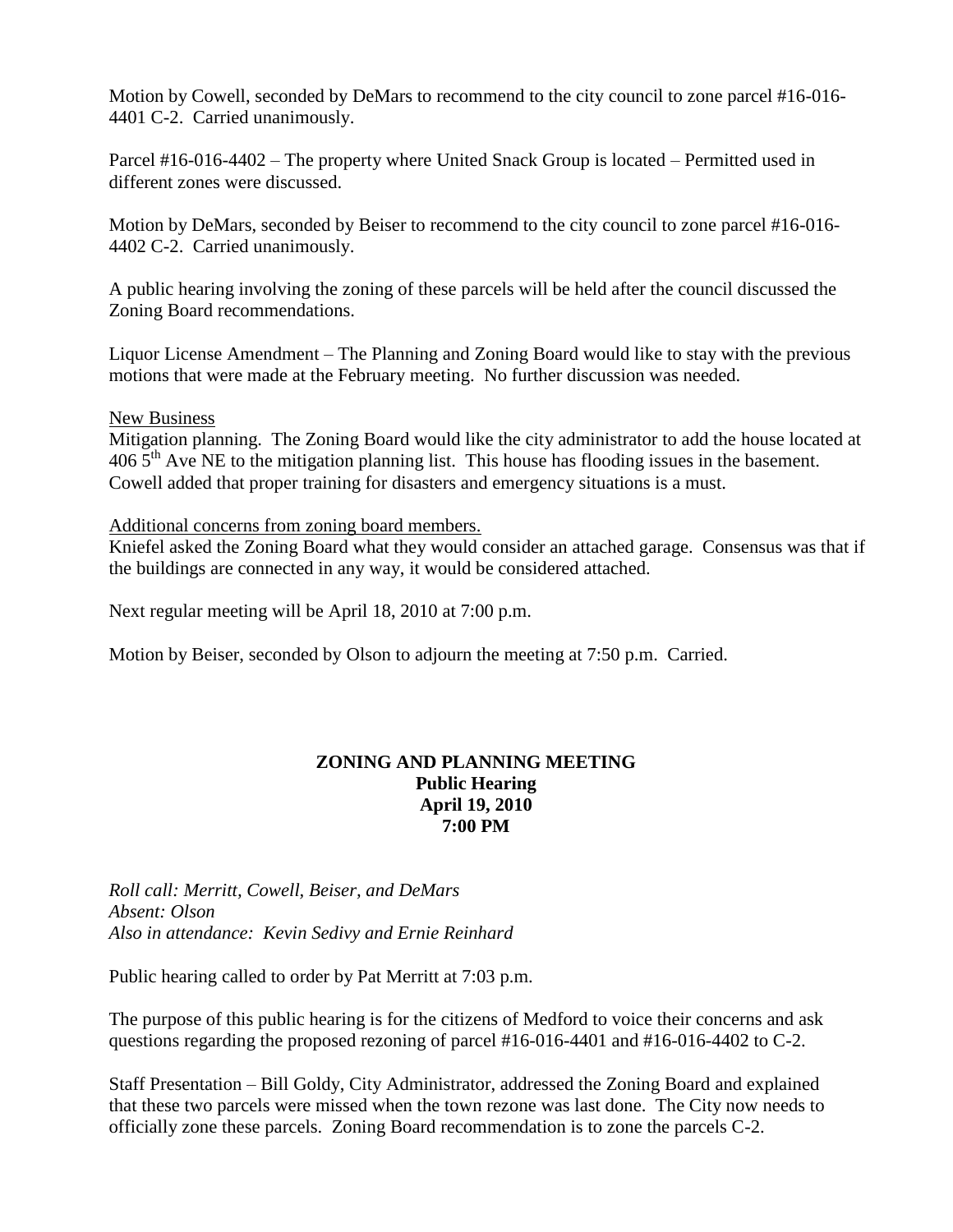Motion by Cowell, seconded by DeMars to recommend to the city council to zone parcel #16-016- 4401 C-2. Carried unanimously.

Parcel #16-016-4402 – The property where United Snack Group is located – Permitted used in different zones were discussed.

Motion by DeMars, seconded by Beiser to recommend to the city council to zone parcel #16-016- 4402 C-2. Carried unanimously.

A public hearing involving the zoning of these parcels will be held after the council discussed the Zoning Board recommendations.

Liquor License Amendment – The Planning and Zoning Board would like to stay with the previous motions that were made at the February meeting. No further discussion was needed.

#### New Business

Mitigation planning. The Zoning Board would like the city administrator to add the house located at  $406\,5<sup>th</sup>$  Ave NE to the mitigation planning list. This house has flooding issues in the basement. Cowell added that proper training for disasters and emergency situations is a must.

Additional concerns from zoning board members.

Kniefel asked the Zoning Board what they would consider an attached garage. Consensus was that if the buildings are connected in any way, it would be considered attached.

Next regular meeting will be April 18, 2010 at 7:00 p.m.

Motion by Beiser, seconded by Olson to adjourn the meeting at 7:50 p.m. Carried.

### **ZONING AND PLANNING MEETING Public Hearing April 19, 2010 7:00 PM**

*Roll call: Merritt, Cowell, Beiser, and DeMars Absent: Olson Also in attendance: Kevin Sedivy and Ernie Reinhard*

Public hearing called to order by Pat Merritt at 7:03 p.m.

The purpose of this public hearing is for the citizens of Medford to voice their concerns and ask questions regarding the proposed rezoning of parcel #16-016-4401 and #16-016-4402 to C-2.

Staff Presentation – Bill Goldy, City Administrator, addressed the Zoning Board and explained that these two parcels were missed when the town rezone was last done. The City now needs to officially zone these parcels. Zoning Board recommendation is to zone the parcels C-2.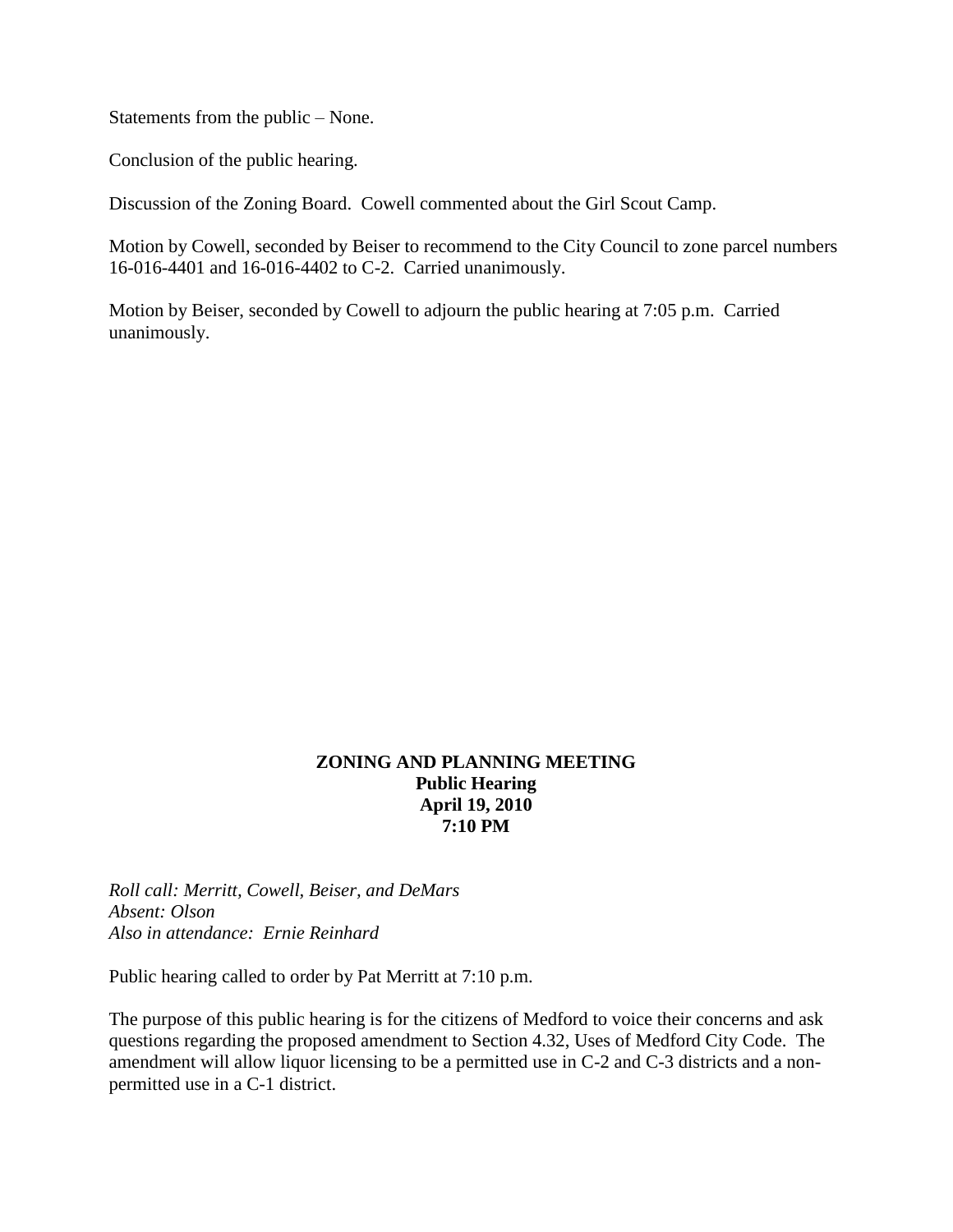Statements from the public – None.

Conclusion of the public hearing.

Discussion of the Zoning Board. Cowell commented about the Girl Scout Camp.

Motion by Cowell, seconded by Beiser to recommend to the City Council to zone parcel numbers 16-016-4401 and 16-016-4402 to C-2. Carried unanimously.

Motion by Beiser, seconded by Cowell to adjourn the public hearing at 7:05 p.m. Carried unanimously.

### **ZONING AND PLANNING MEETING Public Hearing April 19, 2010 7:10 PM**

*Roll call: Merritt, Cowell, Beiser, and DeMars Absent: Olson Also in attendance: Ernie Reinhard*

Public hearing called to order by Pat Merritt at 7:10 p.m.

The purpose of this public hearing is for the citizens of Medford to voice their concerns and ask questions regarding the proposed amendment to Section 4.32, Uses of Medford City Code. The amendment will allow liquor licensing to be a permitted use in C-2 and C-3 districts and a nonpermitted use in a C-1 district.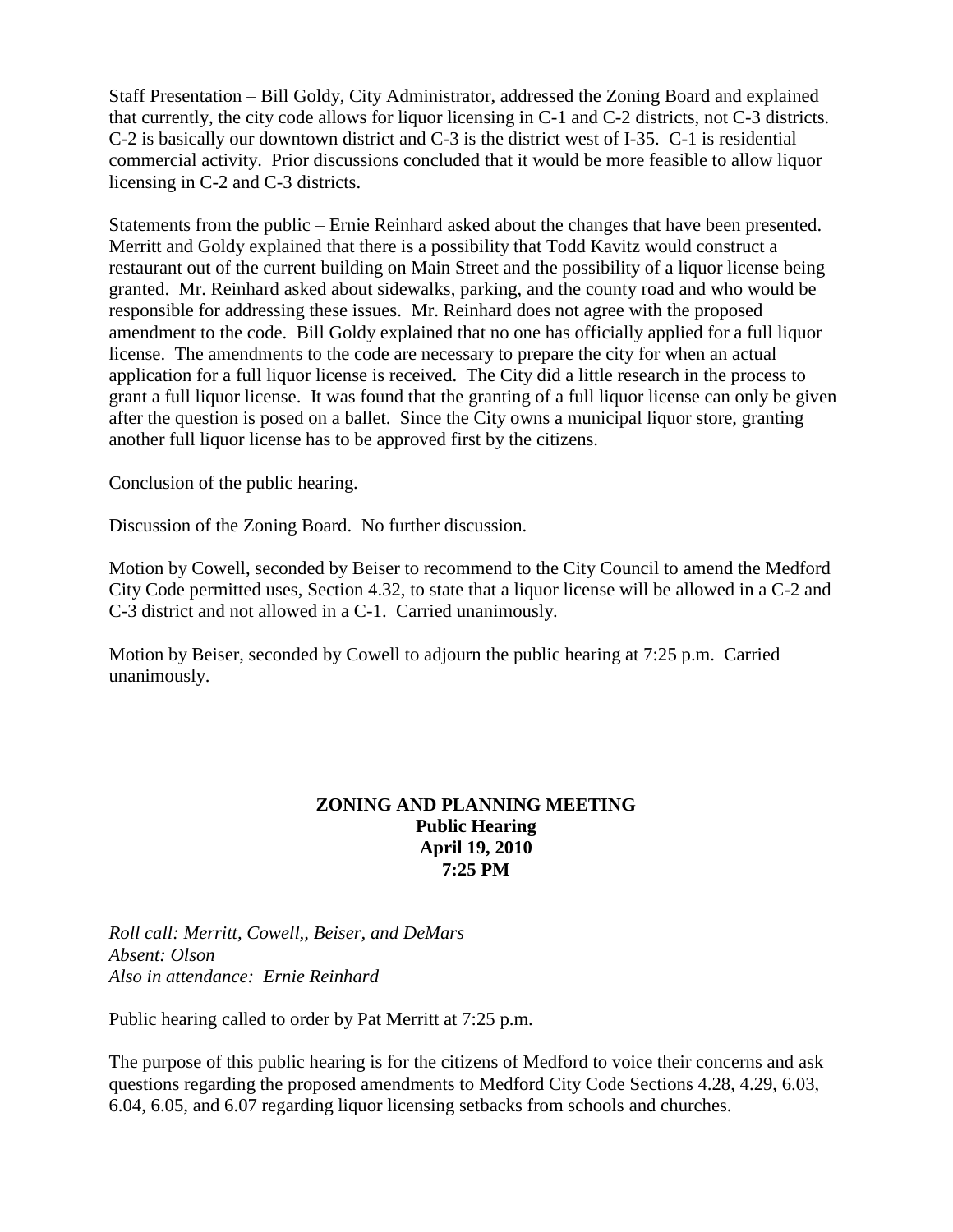Staff Presentation – Bill Goldy, City Administrator, addressed the Zoning Board and explained that currently, the city code allows for liquor licensing in C-1 and C-2 districts, not C-3 districts. C-2 is basically our downtown district and C-3 is the district west of I-35. C-1 is residential commercial activity. Prior discussions concluded that it would be more feasible to allow liquor licensing in C-2 and C-3 districts.

Statements from the public – Ernie Reinhard asked about the changes that have been presented. Merritt and Goldy explained that there is a possibility that Todd Kavitz would construct a restaurant out of the current building on Main Street and the possibility of a liquor license being granted. Mr. Reinhard asked about sidewalks, parking, and the county road and who would be responsible for addressing these issues. Mr. Reinhard does not agree with the proposed amendment to the code. Bill Goldy explained that no one has officially applied for a full liquor license. The amendments to the code are necessary to prepare the city for when an actual application for a full liquor license is received. The City did a little research in the process to grant a full liquor license. It was found that the granting of a full liquor license can only be given after the question is posed on a ballet. Since the City owns a municipal liquor store, granting another full liquor license has to be approved first by the citizens.

Conclusion of the public hearing.

Discussion of the Zoning Board. No further discussion.

Motion by Cowell, seconded by Beiser to recommend to the City Council to amend the Medford City Code permitted uses, Section 4.32, to state that a liquor license will be allowed in a C-2 and C-3 district and not allowed in a C-1. Carried unanimously.

Motion by Beiser, seconded by Cowell to adjourn the public hearing at 7:25 p.m. Carried unanimously.

#### **ZONING AND PLANNING MEETING Public Hearing April 19, 2010 7:25 PM**

*Roll call: Merritt, Cowell,, Beiser, and DeMars Absent: Olson Also in attendance: Ernie Reinhard*

Public hearing called to order by Pat Merritt at 7:25 p.m.

The purpose of this public hearing is for the citizens of Medford to voice their concerns and ask questions regarding the proposed amendments to Medford City Code Sections 4.28, 4.29, 6.03, 6.04, 6.05, and 6.07 regarding liquor licensing setbacks from schools and churches.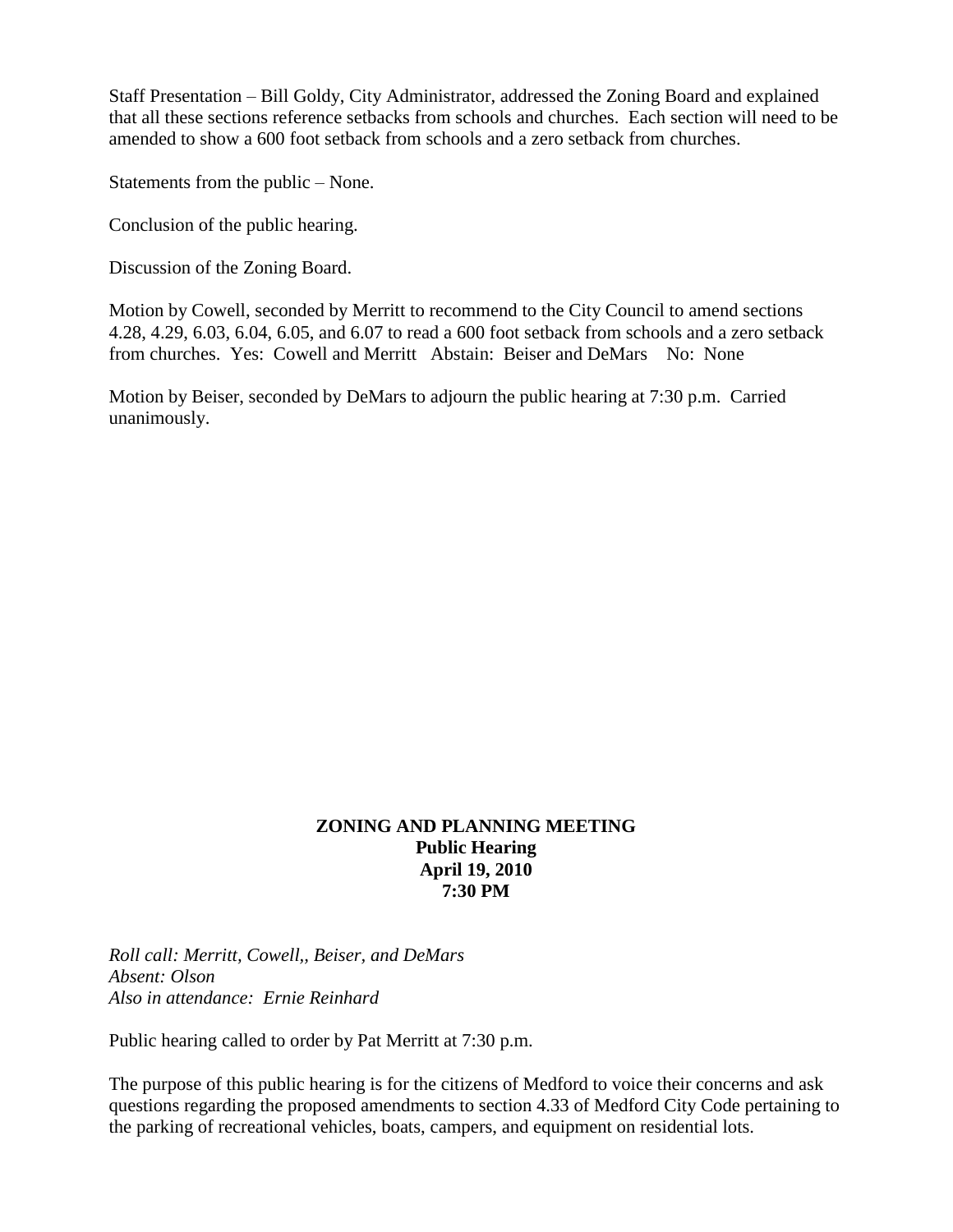Staff Presentation – Bill Goldy, City Administrator, addressed the Zoning Board and explained that all these sections reference setbacks from schools and churches. Each section will need to be amended to show a 600 foot setback from schools and a zero setback from churches.

Statements from the public – None.

Conclusion of the public hearing.

Discussion of the Zoning Board.

Motion by Cowell, seconded by Merritt to recommend to the City Council to amend sections 4.28, 4.29, 6.03, 6.04, 6.05, and 6.07 to read a 600 foot setback from schools and a zero setback from churches. Yes: Cowell and Merritt Abstain: Beiser and DeMars No: None

Motion by Beiser, seconded by DeMars to adjourn the public hearing at 7:30 p.m. Carried unanimously.

## **ZONING AND PLANNING MEETING Public Hearing April 19, 2010 7:30 PM**

*Roll call: Merritt, Cowell,, Beiser, and DeMars Absent: Olson Also in attendance: Ernie Reinhard*

Public hearing called to order by Pat Merritt at 7:30 p.m.

The purpose of this public hearing is for the citizens of Medford to voice their concerns and ask questions regarding the proposed amendments to section 4.33 of Medford City Code pertaining to the parking of recreational vehicles, boats, campers, and equipment on residential lots.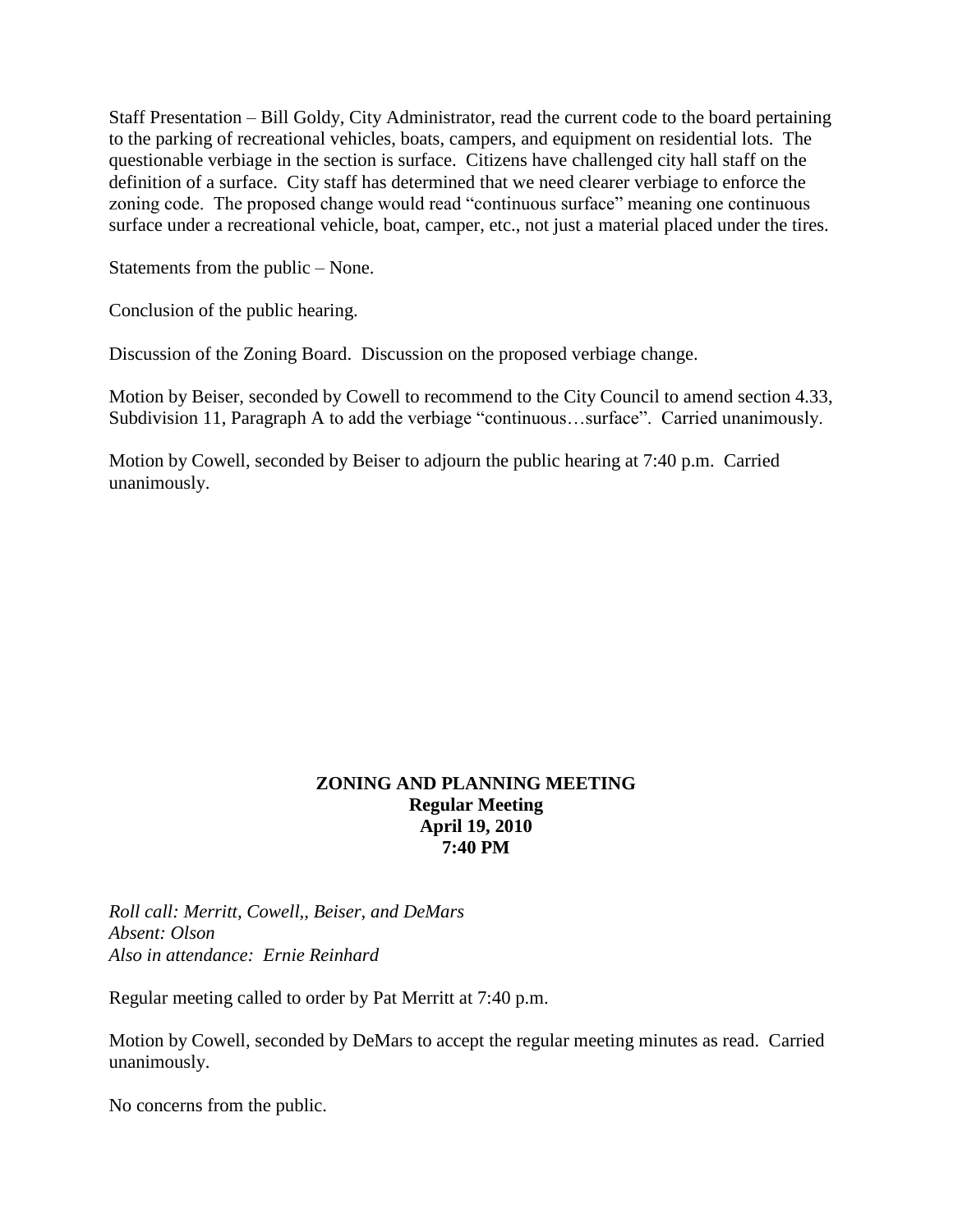Staff Presentation – Bill Goldy, City Administrator, read the current code to the board pertaining to the parking of recreational vehicles, boats, campers, and equipment on residential lots. The questionable verbiage in the section is surface. Citizens have challenged city hall staff on the definition of a surface. City staff has determined that we need clearer verbiage to enforce the zoning code. The proposed change would read "continuous surface" meaning one continuous surface under a recreational vehicle, boat, camper, etc., not just a material placed under the tires.

Statements from the public – None.

Conclusion of the public hearing.

Discussion of the Zoning Board. Discussion on the proposed verbiage change.

Motion by Beiser, seconded by Cowell to recommend to the City Council to amend section 4.33, Subdivision 11, Paragraph A to add the verbiage "continuous…surface". Carried unanimously.

Motion by Cowell, seconded by Beiser to adjourn the public hearing at 7:40 p.m. Carried unanimously.

## **ZONING AND PLANNING MEETING Regular Meeting April 19, 2010 7:40 PM**

*Roll call: Merritt, Cowell,, Beiser, and DeMars Absent: Olson Also in attendance: Ernie Reinhard*

Regular meeting called to order by Pat Merritt at 7:40 p.m.

Motion by Cowell, seconded by DeMars to accept the regular meeting minutes as read. Carried unanimously.

No concerns from the public.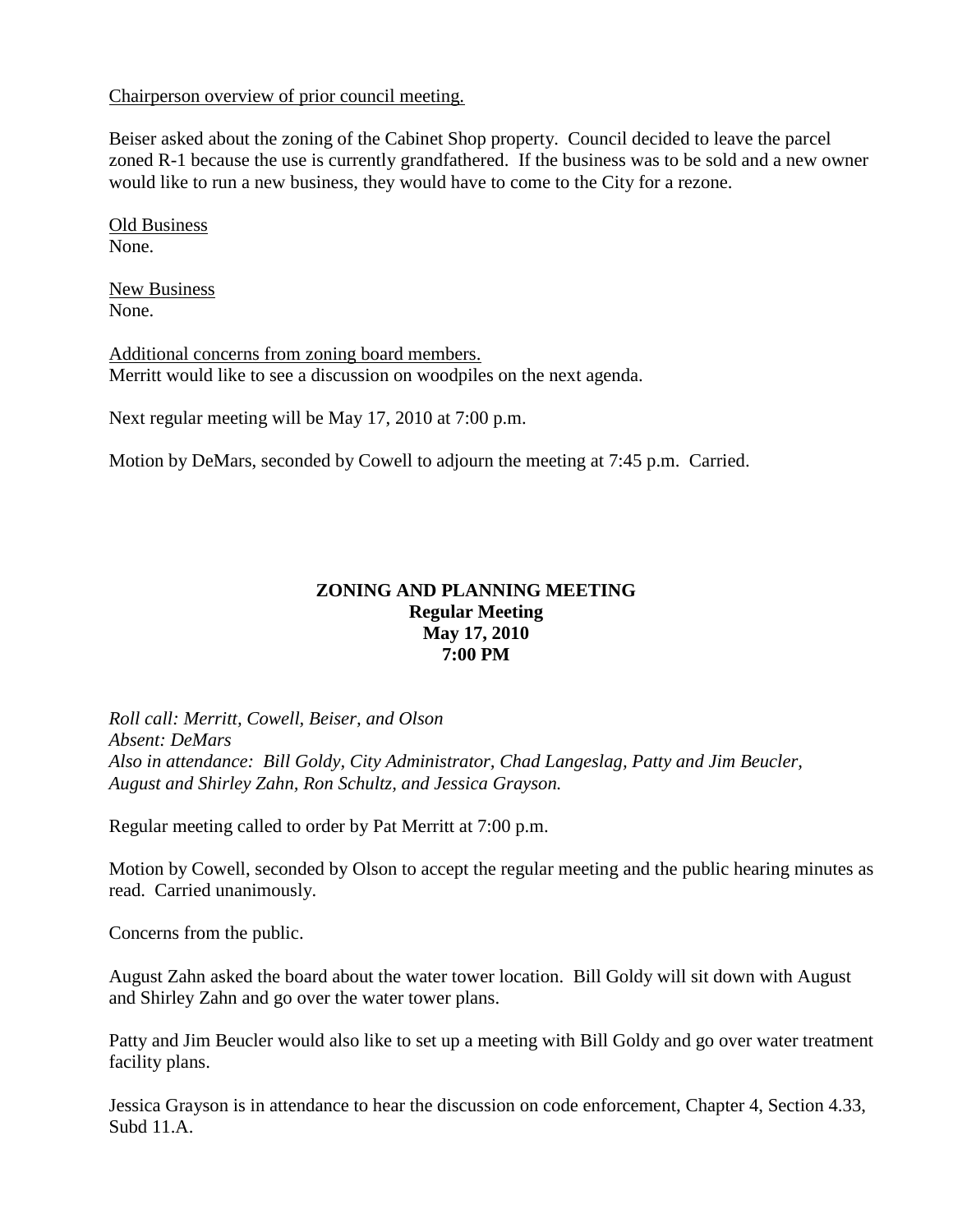Chairperson overview of prior council meeting.

Beiser asked about the zoning of the Cabinet Shop property. Council decided to leave the parcel zoned R-1 because the use is currently grandfathered. If the business was to be sold and a new owner would like to run a new business, they would have to come to the City for a rezone.

Old Business None.

New Business None.

Additional concerns from zoning board members. Merritt would like to see a discussion on woodpiles on the next agenda.

Next regular meeting will be May 17, 2010 at 7:00 p.m.

Motion by DeMars, seconded by Cowell to adjourn the meeting at 7:45 p.m. Carried.

## **ZONING AND PLANNING MEETING Regular Meeting May 17, 2010 7:00 PM**

*Roll call: Merritt, Cowell, Beiser, and Olson Absent: DeMars Also in attendance: Bill Goldy, City Administrator, Chad Langeslag, Patty and Jim Beucler, August and Shirley Zahn, Ron Schultz, and Jessica Grayson.*

Regular meeting called to order by Pat Merritt at 7:00 p.m.

Motion by Cowell, seconded by Olson to accept the regular meeting and the public hearing minutes as read. Carried unanimously.

Concerns from the public.

August Zahn asked the board about the water tower location. Bill Goldy will sit down with August and Shirley Zahn and go over the water tower plans.

Patty and Jim Beucler would also like to set up a meeting with Bill Goldy and go over water treatment facility plans.

Jessica Grayson is in attendance to hear the discussion on code enforcement, Chapter 4, Section 4.33, Subd 11.A.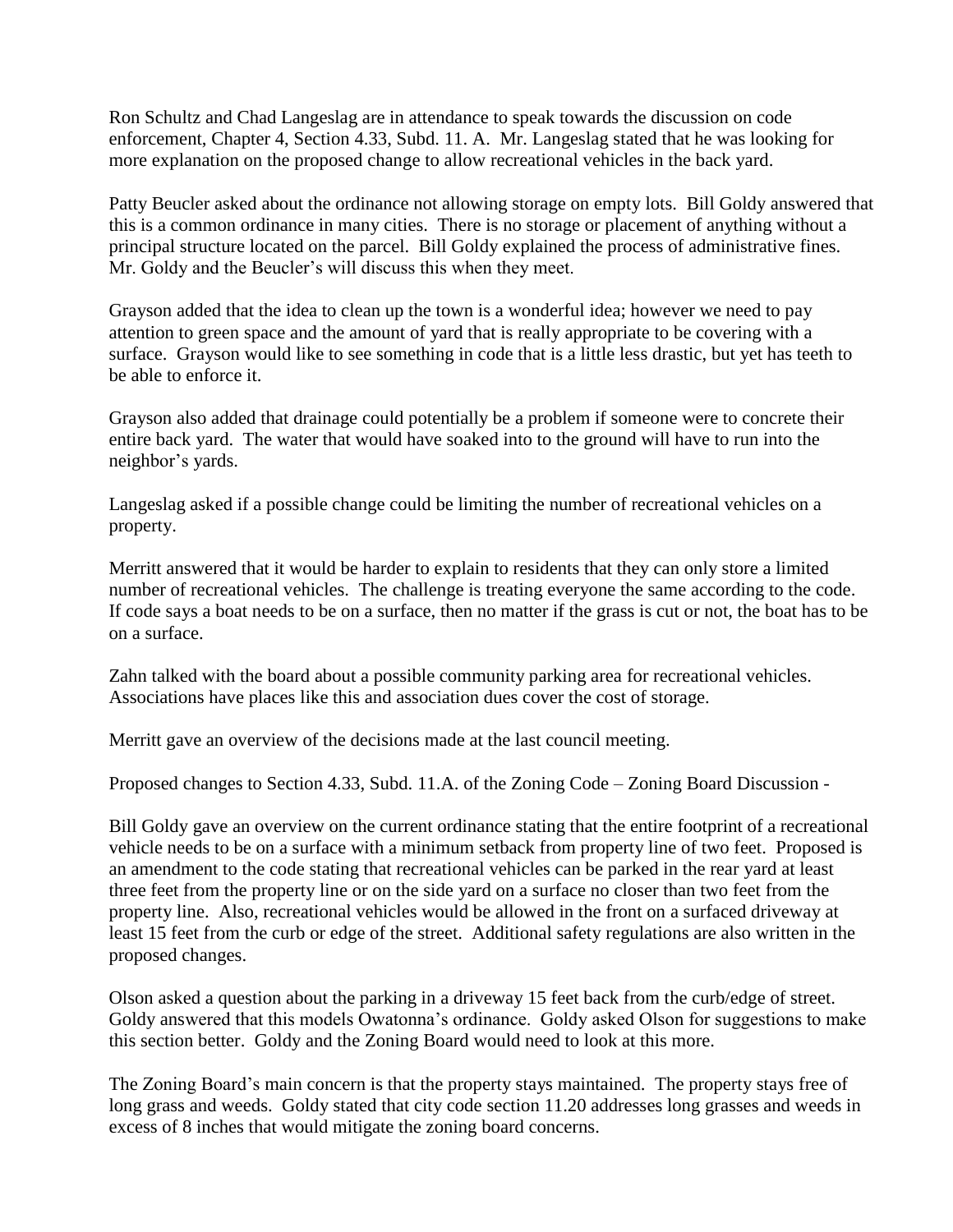Ron Schultz and Chad Langeslag are in attendance to speak towards the discussion on code enforcement, Chapter 4, Section 4.33, Subd. 11. A. Mr. Langeslag stated that he was looking for more explanation on the proposed change to allow recreational vehicles in the back yard.

Patty Beucler asked about the ordinance not allowing storage on empty lots. Bill Goldy answered that this is a common ordinance in many cities. There is no storage or placement of anything without a principal structure located on the parcel. Bill Goldy explained the process of administrative fines. Mr. Goldy and the Beucler's will discuss this when they meet.

Grayson added that the idea to clean up the town is a wonderful idea; however we need to pay attention to green space and the amount of yard that is really appropriate to be covering with a surface. Grayson would like to see something in code that is a little less drastic, but yet has teeth to be able to enforce it.

Grayson also added that drainage could potentially be a problem if someone were to concrete their entire back yard. The water that would have soaked into to the ground will have to run into the neighbor's yards.

Langeslag asked if a possible change could be limiting the number of recreational vehicles on a property.

Merritt answered that it would be harder to explain to residents that they can only store a limited number of recreational vehicles. The challenge is treating everyone the same according to the code. If code says a boat needs to be on a surface, then no matter if the grass is cut or not, the boat has to be on a surface.

Zahn talked with the board about a possible community parking area for recreational vehicles. Associations have places like this and association dues cover the cost of storage.

Merritt gave an overview of the decisions made at the last council meeting.

Proposed changes to Section 4.33, Subd. 11.A. of the Zoning Code – Zoning Board Discussion -

Bill Goldy gave an overview on the current ordinance stating that the entire footprint of a recreational vehicle needs to be on a surface with a minimum setback from property line of two feet. Proposed is an amendment to the code stating that recreational vehicles can be parked in the rear yard at least three feet from the property line or on the side yard on a surface no closer than two feet from the property line. Also, recreational vehicles would be allowed in the front on a surfaced driveway at least 15 feet from the curb or edge of the street. Additional safety regulations are also written in the proposed changes.

Olson asked a question about the parking in a driveway 15 feet back from the curb/edge of street. Goldy answered that this models Owatonna's ordinance. Goldy asked Olson for suggestions to make this section better. Goldy and the Zoning Board would need to look at this more.

The Zoning Board's main concern is that the property stays maintained. The property stays free of long grass and weeds. Goldy stated that city code section 11.20 addresses long grasses and weeds in excess of 8 inches that would mitigate the zoning board concerns.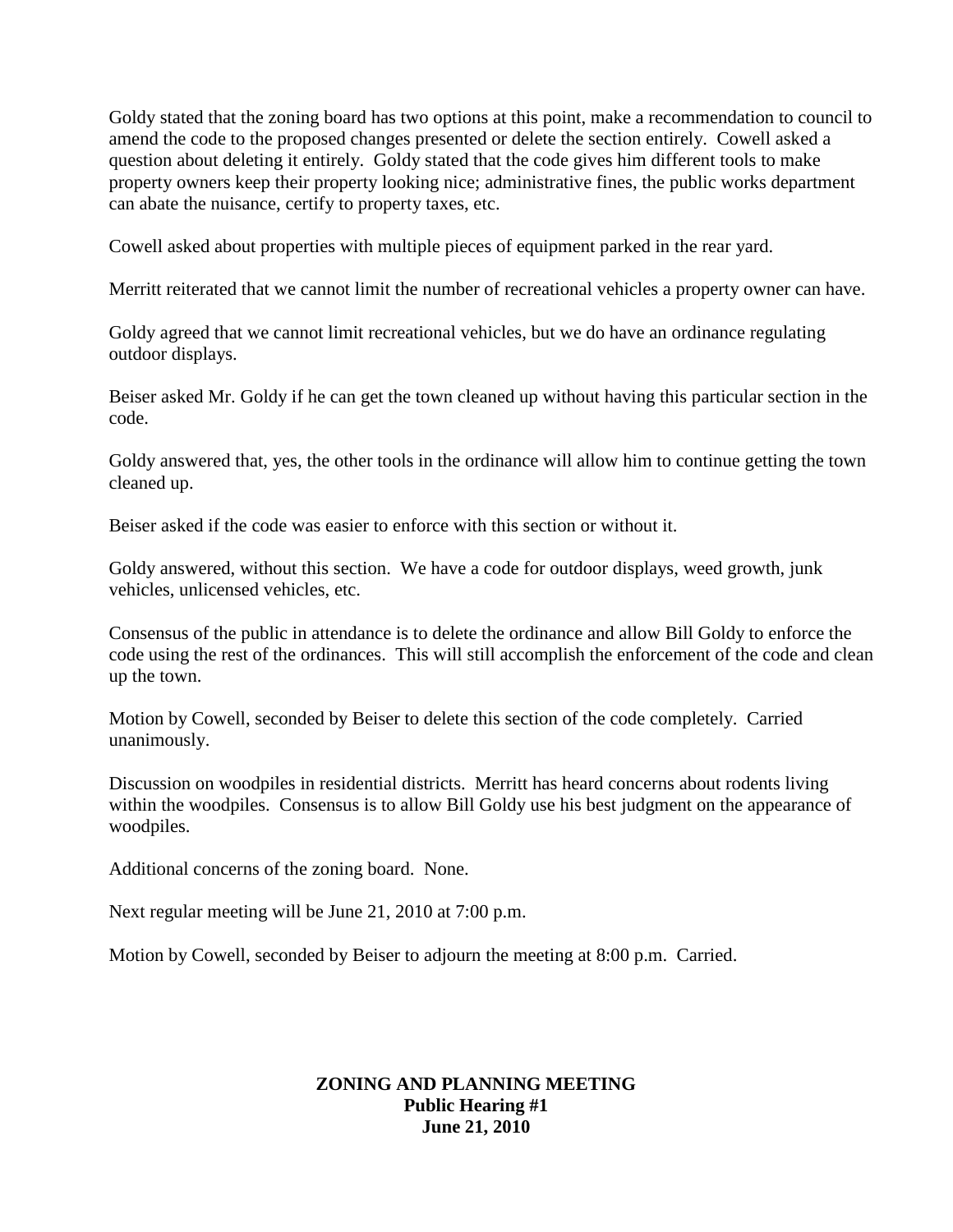Goldy stated that the zoning board has two options at this point, make a recommendation to council to amend the code to the proposed changes presented or delete the section entirely. Cowell asked a question about deleting it entirely. Goldy stated that the code gives him different tools to make property owners keep their property looking nice; administrative fines, the public works department can abate the nuisance, certify to property taxes, etc.

Cowell asked about properties with multiple pieces of equipment parked in the rear yard.

Merritt reiterated that we cannot limit the number of recreational vehicles a property owner can have.

Goldy agreed that we cannot limit recreational vehicles, but we do have an ordinance regulating outdoor displays.

Beiser asked Mr. Goldy if he can get the town cleaned up without having this particular section in the code.

Goldy answered that, yes, the other tools in the ordinance will allow him to continue getting the town cleaned up.

Beiser asked if the code was easier to enforce with this section or without it.

Goldy answered, without this section. We have a code for outdoor displays, weed growth, junk vehicles, unlicensed vehicles, etc.

Consensus of the public in attendance is to delete the ordinance and allow Bill Goldy to enforce the code using the rest of the ordinances. This will still accomplish the enforcement of the code and clean up the town.

Motion by Cowell, seconded by Beiser to delete this section of the code completely. Carried unanimously.

Discussion on woodpiles in residential districts. Merritt has heard concerns about rodents living within the woodpiles. Consensus is to allow Bill Goldy use his best judgment on the appearance of woodpiles.

Additional concerns of the zoning board. None.

Next regular meeting will be June 21, 2010 at 7:00 p.m.

Motion by Cowell, seconded by Beiser to adjourn the meeting at 8:00 p.m. Carried.

## **ZONING AND PLANNING MEETING Public Hearing #1 June 21, 2010**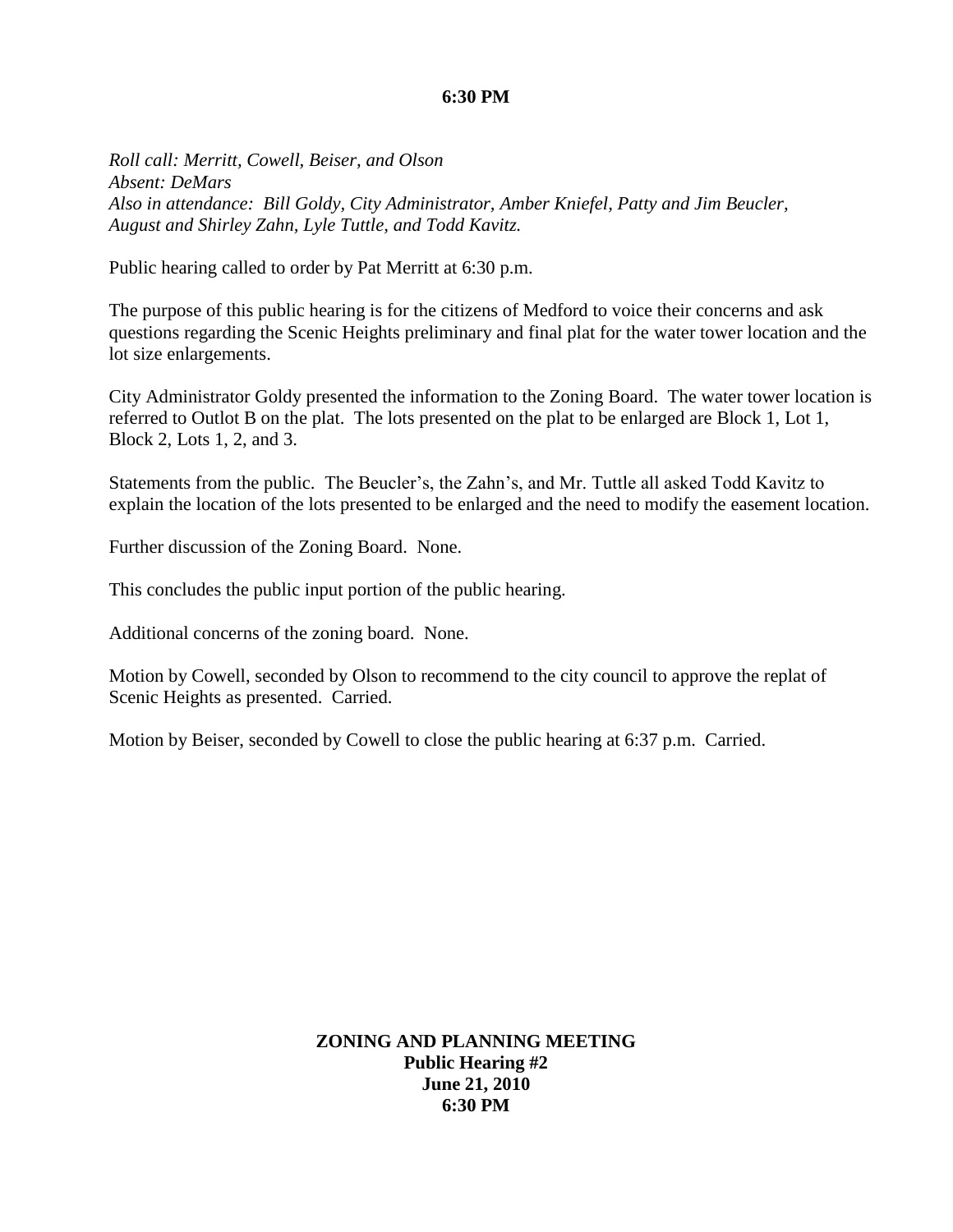#### **6:30 PM**

*Roll call: Merritt, Cowell, Beiser, and Olson Absent: DeMars Also in attendance: Bill Goldy, City Administrator, Amber Kniefel, Patty and Jim Beucler, August and Shirley Zahn, Lyle Tuttle, and Todd Kavitz.*

Public hearing called to order by Pat Merritt at 6:30 p.m.

The purpose of this public hearing is for the citizens of Medford to voice their concerns and ask questions regarding the Scenic Heights preliminary and final plat for the water tower location and the lot size enlargements.

City Administrator Goldy presented the information to the Zoning Board. The water tower location is referred to Outlot B on the plat. The lots presented on the plat to be enlarged are Block 1, Lot 1, Block 2, Lots 1, 2, and 3.

Statements from the public. The Beucler's, the Zahn's, and Mr. Tuttle all asked Todd Kavitz to explain the location of the lots presented to be enlarged and the need to modify the easement location.

Further discussion of the Zoning Board. None.

This concludes the public input portion of the public hearing.

Additional concerns of the zoning board. None.

Motion by Cowell, seconded by Olson to recommend to the city council to approve the replat of Scenic Heights as presented. Carried.

Motion by Beiser, seconded by Cowell to close the public hearing at 6:37 p.m. Carried.

**ZONING AND PLANNING MEETING Public Hearing #2 June 21, 2010 6:30 PM**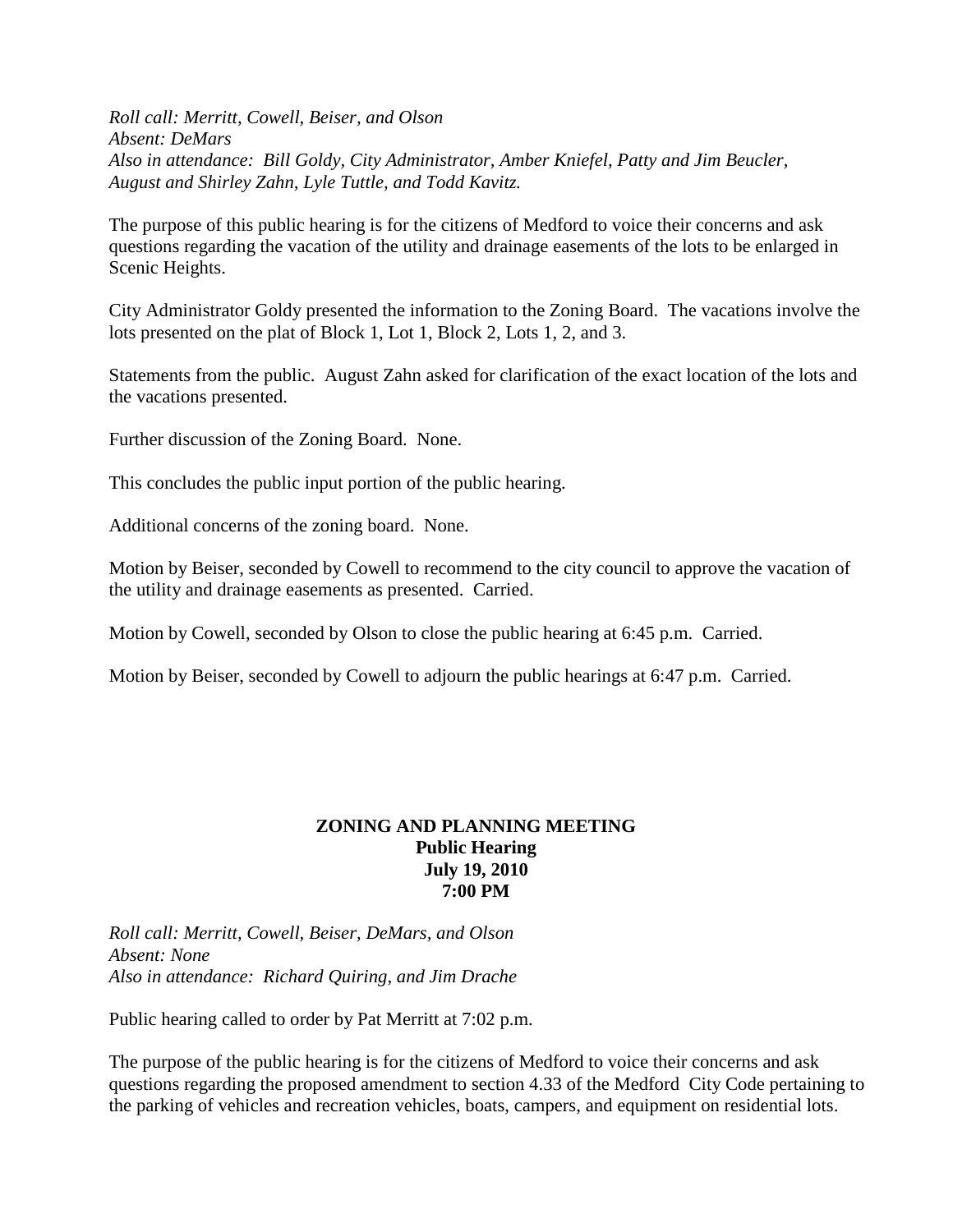*Roll call: Merritt, Cowell, Beiser, and Olson Absent: DeMars Also in attendance: Bill Goldy, City Administrator, Amber Kniefel, Patty and Jim Beucler, August and Shirley Zahn, Lyle Tuttle, and Todd Kavitz.*

The purpose of this public hearing is for the citizens of Medford to voice their concerns and ask questions regarding the vacation of the utility and drainage easements of the lots to be enlarged in Scenic Heights.

City Administrator Goldy presented the information to the Zoning Board. The vacations involve the lots presented on the plat of Block 1, Lot 1, Block 2, Lots 1, 2, and 3.

Statements from the public. August Zahn asked for clarification of the exact location of the lots and the vacations presented.

Further discussion of the Zoning Board. None.

This concludes the public input portion of the public hearing.

Additional concerns of the zoning board. None.

Motion by Beiser, seconded by Cowell to recommend to the city council to approve the vacation of the utility and drainage easements as presented. Carried.

Motion by Cowell, seconded by Olson to close the public hearing at 6:45 p.m. Carried.

Motion by Beiser, seconded by Cowell to adjourn the public hearings at 6:47 p.m. Carried.

#### **ZONING AND PLANNING MEETING Public Hearing July 19, 2010 7:00 PM**

*Roll call: Merritt, Cowell, Beiser, DeMars, and Olson Absent: None Also in attendance: Richard Quiring, and Jim Drache*

Public hearing called to order by Pat Merritt at 7:02 p.m.

The purpose of the public hearing is for the citizens of Medford to voice their concerns and ask questions regarding the proposed amendment to section 4.33 of the Medford City Code pertaining to the parking of vehicles and recreation vehicles, boats, campers, and equipment on residential lots.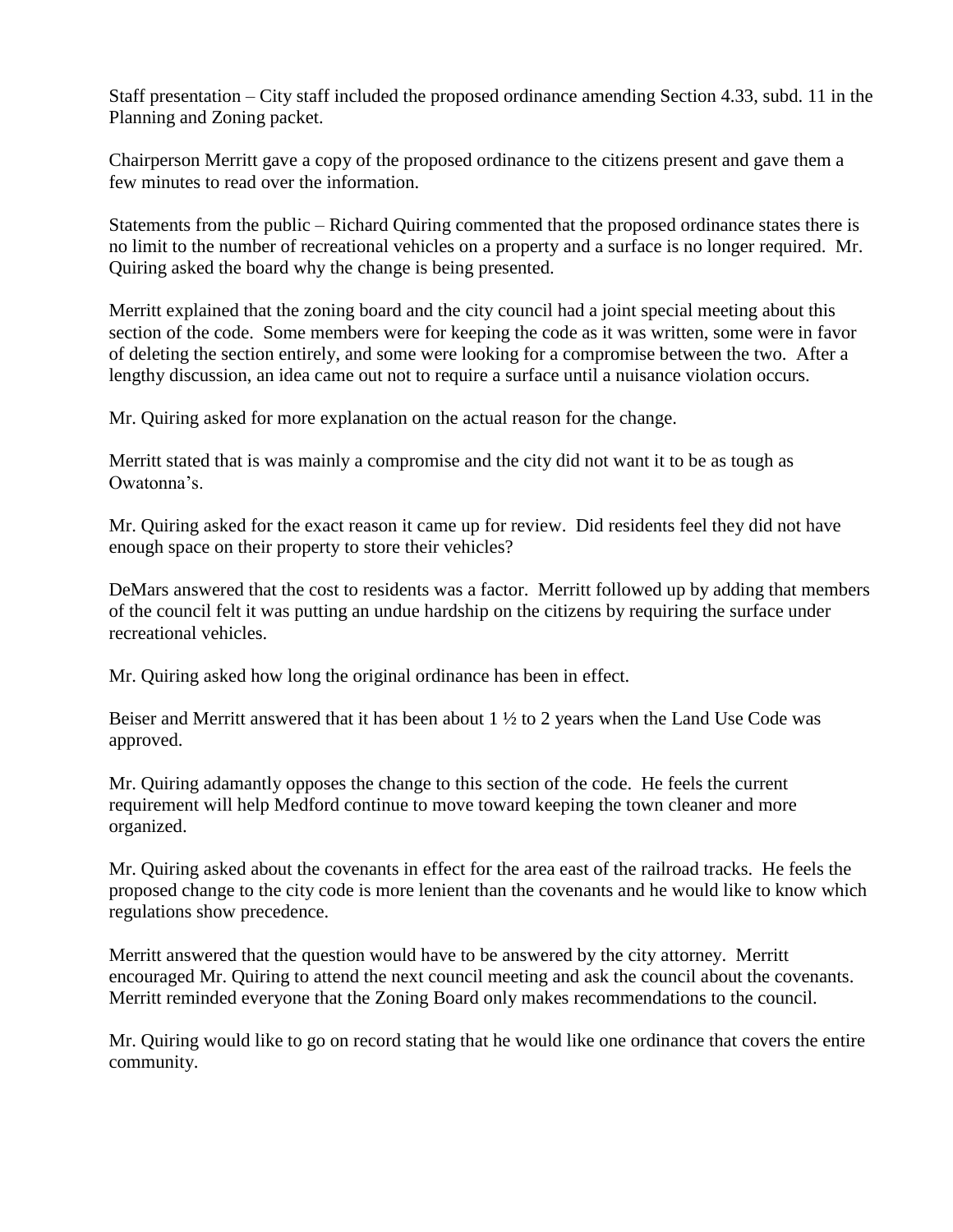Staff presentation – City staff included the proposed ordinance amending Section 4.33, subd. 11 in the Planning and Zoning packet.

Chairperson Merritt gave a copy of the proposed ordinance to the citizens present and gave them a few minutes to read over the information.

Statements from the public – Richard Quiring commented that the proposed ordinance states there is no limit to the number of recreational vehicles on a property and a surface is no longer required. Mr. Quiring asked the board why the change is being presented.

Merritt explained that the zoning board and the city council had a joint special meeting about this section of the code. Some members were for keeping the code as it was written, some were in favor of deleting the section entirely, and some were looking for a compromise between the two. After a lengthy discussion, an idea came out not to require a surface until a nuisance violation occurs.

Mr. Quiring asked for more explanation on the actual reason for the change.

Merritt stated that is was mainly a compromise and the city did not want it to be as tough as Owatonna's.

Mr. Quiring asked for the exact reason it came up for review. Did residents feel they did not have enough space on their property to store their vehicles?

DeMars answered that the cost to residents was a factor. Merritt followed up by adding that members of the council felt it was putting an undue hardship on the citizens by requiring the surface under recreational vehicles.

Mr. Quiring asked how long the original ordinance has been in effect.

Beiser and Merritt answered that it has been about 1 ½ to 2 years when the Land Use Code was approved.

Mr. Quiring adamantly opposes the change to this section of the code. He feels the current requirement will help Medford continue to move toward keeping the town cleaner and more organized.

Mr. Quiring asked about the covenants in effect for the area east of the railroad tracks. He feels the proposed change to the city code is more lenient than the covenants and he would like to know which regulations show precedence.

Merritt answered that the question would have to be answered by the city attorney. Merritt encouraged Mr. Quiring to attend the next council meeting and ask the council about the covenants. Merritt reminded everyone that the Zoning Board only makes recommendations to the council.

Mr. Quiring would like to go on record stating that he would like one ordinance that covers the entire community.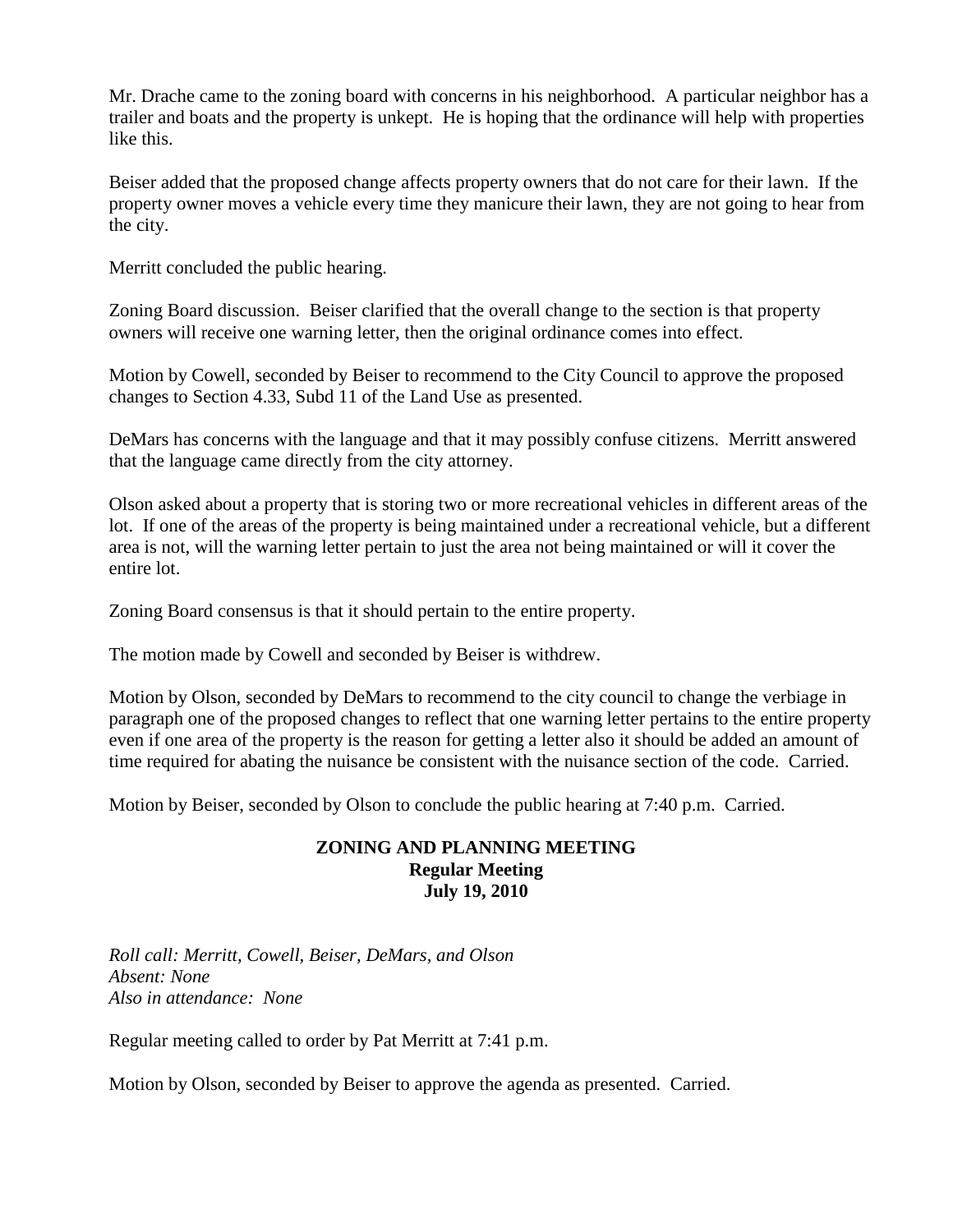Mr. Drache came to the zoning board with concerns in his neighborhood. A particular neighbor has a trailer and boats and the property is unkept. He is hoping that the ordinance will help with properties like this.

Beiser added that the proposed change affects property owners that do not care for their lawn. If the property owner moves a vehicle every time they manicure their lawn, they are not going to hear from the city.

Merritt concluded the public hearing.

Zoning Board discussion. Beiser clarified that the overall change to the section is that property owners will receive one warning letter, then the original ordinance comes into effect.

Motion by Cowell, seconded by Beiser to recommend to the City Council to approve the proposed changes to Section 4.33, Subd 11 of the Land Use as presented.

DeMars has concerns with the language and that it may possibly confuse citizens. Merritt answered that the language came directly from the city attorney.

Olson asked about a property that is storing two or more recreational vehicles in different areas of the lot. If one of the areas of the property is being maintained under a recreational vehicle, but a different area is not, will the warning letter pertain to just the area not being maintained or will it cover the entire lot.

Zoning Board consensus is that it should pertain to the entire property.

The motion made by Cowell and seconded by Beiser is withdrew.

Motion by Olson, seconded by DeMars to recommend to the city council to change the verbiage in paragraph one of the proposed changes to reflect that one warning letter pertains to the entire property even if one area of the property is the reason for getting a letter also it should be added an amount of time required for abating the nuisance be consistent with the nuisance section of the code. Carried.

Motion by Beiser, seconded by Olson to conclude the public hearing at 7:40 p.m. Carried.

### **ZONING AND PLANNING MEETING Regular Meeting July 19, 2010**

*Roll call: Merritt, Cowell, Beiser, DeMars, and Olson Absent: None Also in attendance: None*

Regular meeting called to order by Pat Merritt at 7:41 p.m.

Motion by Olson, seconded by Beiser to approve the agenda as presented. Carried.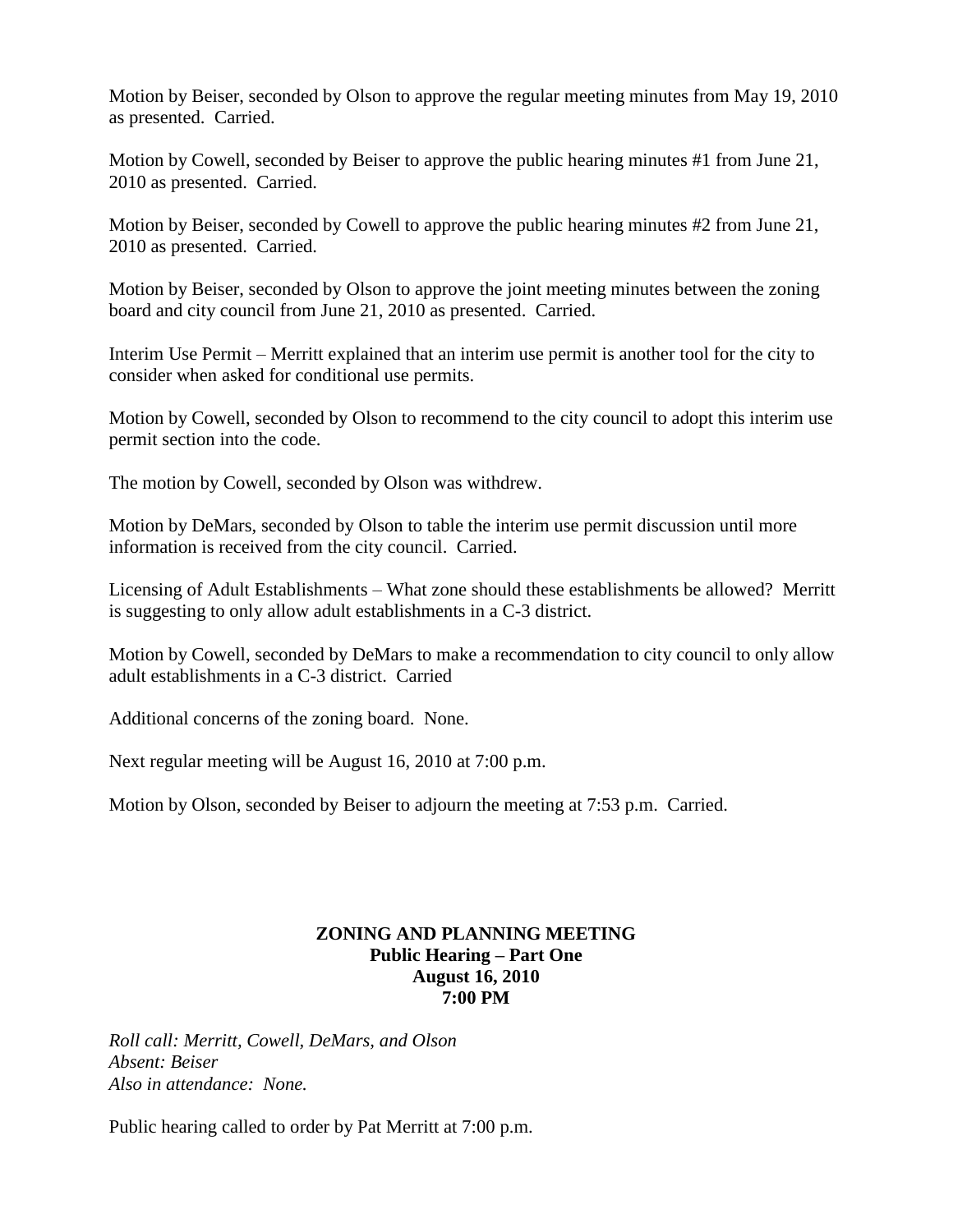Motion by Beiser, seconded by Olson to approve the regular meeting minutes from May 19, 2010 as presented. Carried.

Motion by Cowell, seconded by Beiser to approve the public hearing minutes #1 from June 21, 2010 as presented. Carried.

Motion by Beiser, seconded by Cowell to approve the public hearing minutes #2 from June 21, 2010 as presented. Carried.

Motion by Beiser, seconded by Olson to approve the joint meeting minutes between the zoning board and city council from June 21, 2010 as presented. Carried.

Interim Use Permit – Merritt explained that an interim use permit is another tool for the city to consider when asked for conditional use permits.

Motion by Cowell, seconded by Olson to recommend to the city council to adopt this interim use permit section into the code.

The motion by Cowell, seconded by Olson was withdrew.

Motion by DeMars, seconded by Olson to table the interim use permit discussion until more information is received from the city council. Carried.

Licensing of Adult Establishments – What zone should these establishments be allowed? Merritt is suggesting to only allow adult establishments in a C-3 district.

Motion by Cowell, seconded by DeMars to make a recommendation to city council to only allow adult establishments in a C-3 district. Carried

Additional concerns of the zoning board. None.

Next regular meeting will be August 16, 2010 at 7:00 p.m.

Motion by Olson, seconded by Beiser to adjourn the meeting at 7:53 p.m. Carried.

## **ZONING AND PLANNING MEETING Public Hearing – Part One August 16, 2010 7:00 PM**

*Roll call: Merritt, Cowell, DeMars, and Olson Absent: Beiser Also in attendance: None.*

Public hearing called to order by Pat Merritt at 7:00 p.m.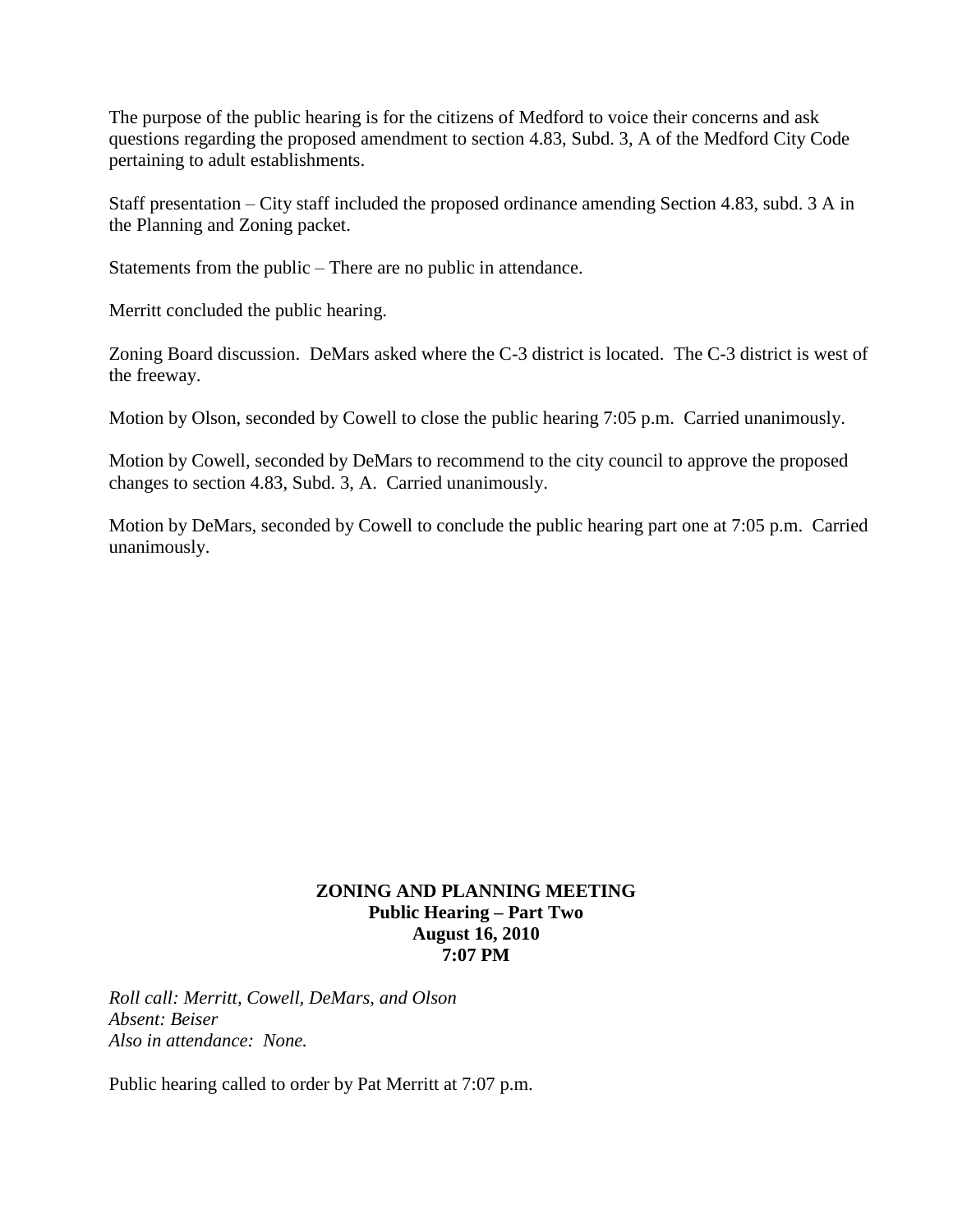The purpose of the public hearing is for the citizens of Medford to voice their concerns and ask questions regarding the proposed amendment to section 4.83, Subd. 3, A of the Medford City Code pertaining to adult establishments.

Staff presentation – City staff included the proposed ordinance amending Section 4.83, subd. 3 A in the Planning and Zoning packet.

Statements from the public – There are no public in attendance.

Merritt concluded the public hearing.

Zoning Board discussion. DeMars asked where the C-3 district is located. The C-3 district is west of the freeway.

Motion by Olson, seconded by Cowell to close the public hearing 7:05 p.m. Carried unanimously.

Motion by Cowell, seconded by DeMars to recommend to the city council to approve the proposed changes to section 4.83, Subd. 3, A. Carried unanimously.

Motion by DeMars, seconded by Cowell to conclude the public hearing part one at 7:05 p.m. Carried unanimously.

## **ZONING AND PLANNING MEETING Public Hearing – Part Two August 16, 2010 7:07 PM**

*Roll call: Merritt, Cowell, DeMars, and Olson Absent: Beiser Also in attendance: None.*

Public hearing called to order by Pat Merritt at 7:07 p.m.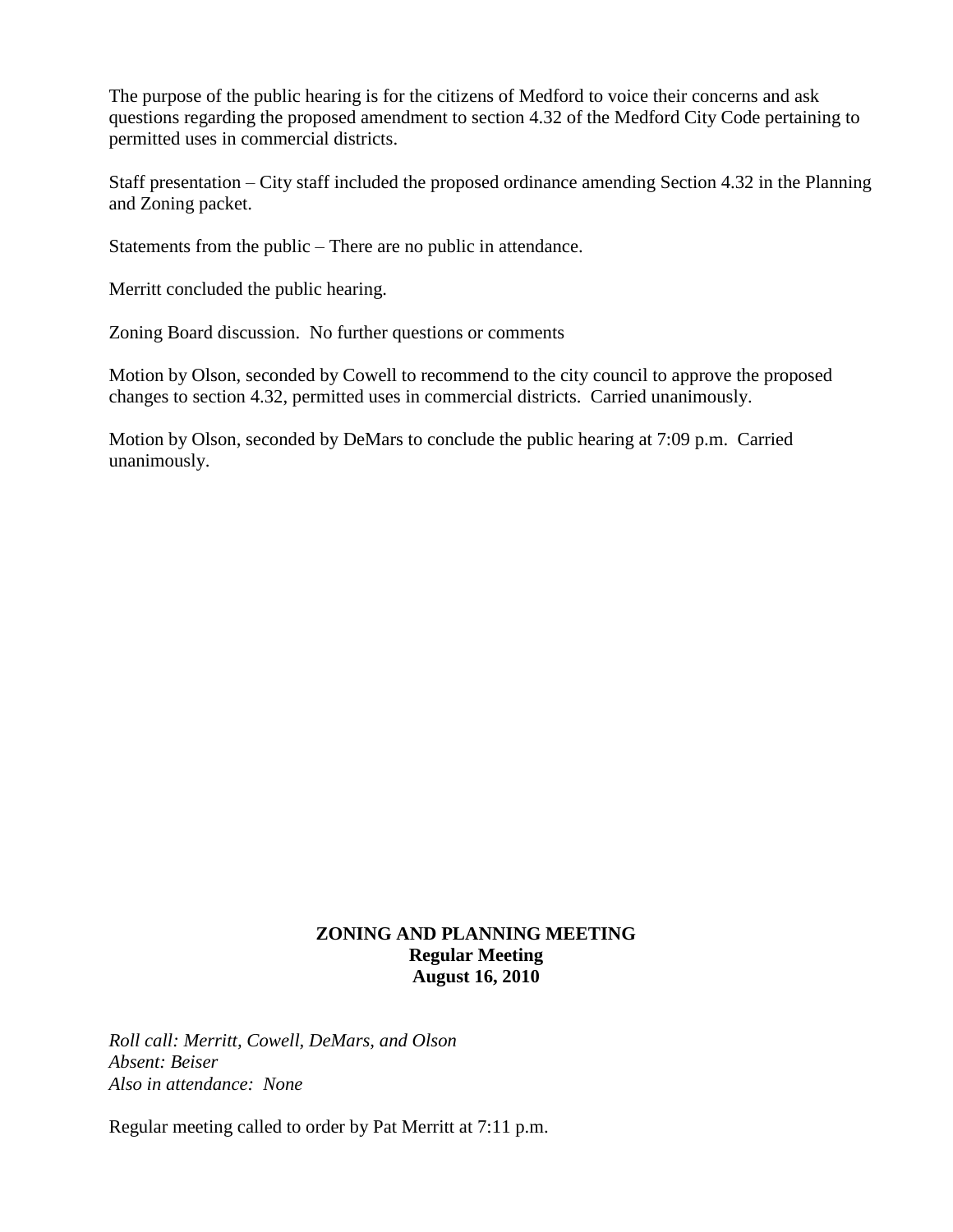The purpose of the public hearing is for the citizens of Medford to voice their concerns and ask questions regarding the proposed amendment to section 4.32 of the Medford City Code pertaining to permitted uses in commercial districts.

Staff presentation – City staff included the proposed ordinance amending Section 4.32 in the Planning and Zoning packet.

Statements from the public – There are no public in attendance.

Merritt concluded the public hearing.

Zoning Board discussion. No further questions or comments

Motion by Olson, seconded by Cowell to recommend to the city council to approve the proposed changes to section 4.32, permitted uses in commercial districts. Carried unanimously.

Motion by Olson, seconded by DeMars to conclude the public hearing at 7:09 p.m. Carried unanimously.

## **ZONING AND PLANNING MEETING Regular Meeting August 16, 2010**

*Roll call: Merritt, Cowell, DeMars, and Olson Absent: Beiser Also in attendance: None*

Regular meeting called to order by Pat Merritt at 7:11 p.m.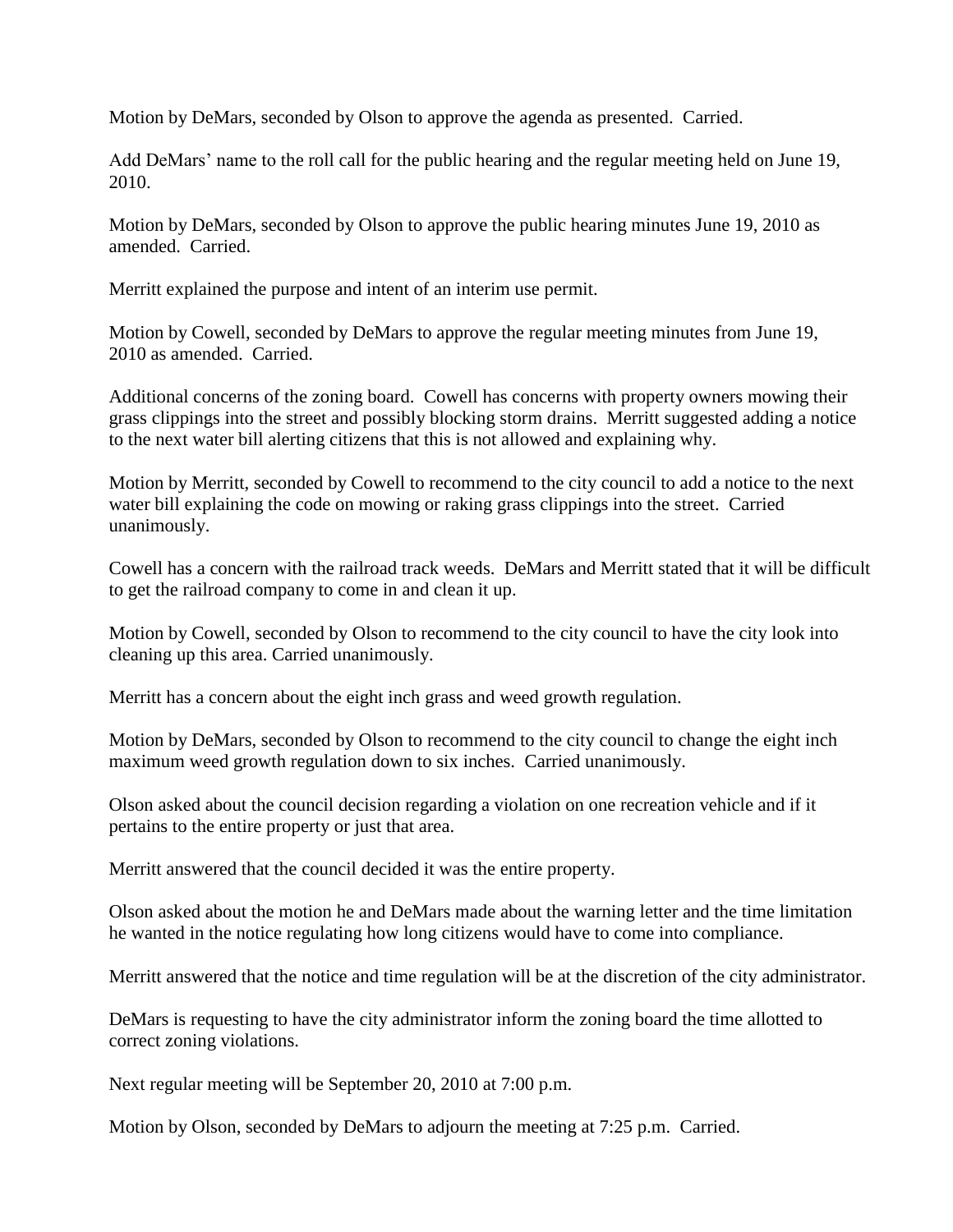Motion by DeMars, seconded by Olson to approve the agenda as presented. Carried.

Add DeMars' name to the roll call for the public hearing and the regular meeting held on June 19, 2010.

Motion by DeMars, seconded by Olson to approve the public hearing minutes June 19, 2010 as amended. Carried.

Merritt explained the purpose and intent of an interim use permit.

Motion by Cowell, seconded by DeMars to approve the regular meeting minutes from June 19, 2010 as amended. Carried.

Additional concerns of the zoning board. Cowell has concerns with property owners mowing their grass clippings into the street and possibly blocking storm drains. Merritt suggested adding a notice to the next water bill alerting citizens that this is not allowed and explaining why.

Motion by Merritt, seconded by Cowell to recommend to the city council to add a notice to the next water bill explaining the code on mowing or raking grass clippings into the street. Carried unanimously.

Cowell has a concern with the railroad track weeds. DeMars and Merritt stated that it will be difficult to get the railroad company to come in and clean it up.

Motion by Cowell, seconded by Olson to recommend to the city council to have the city look into cleaning up this area. Carried unanimously.

Merritt has a concern about the eight inch grass and weed growth regulation.

Motion by DeMars, seconded by Olson to recommend to the city council to change the eight inch maximum weed growth regulation down to six inches. Carried unanimously.

Olson asked about the council decision regarding a violation on one recreation vehicle and if it pertains to the entire property or just that area.

Merritt answered that the council decided it was the entire property.

Olson asked about the motion he and DeMars made about the warning letter and the time limitation he wanted in the notice regulating how long citizens would have to come into compliance.

Merritt answered that the notice and time regulation will be at the discretion of the city administrator.

DeMars is requesting to have the city administrator inform the zoning board the time allotted to correct zoning violations.

Next regular meeting will be September 20, 2010 at 7:00 p.m.

Motion by Olson, seconded by DeMars to adjourn the meeting at 7:25 p.m. Carried.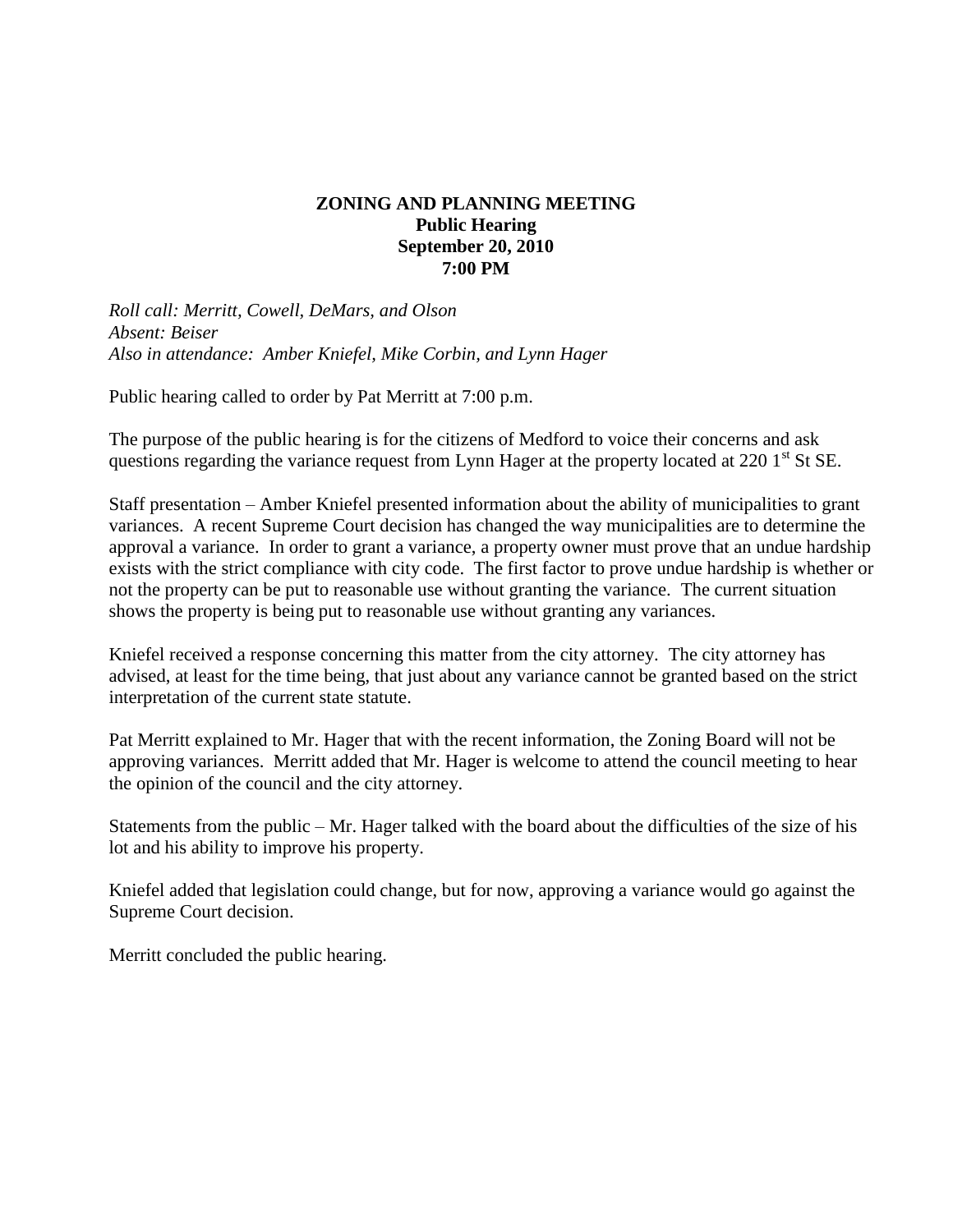## **ZONING AND PLANNING MEETING Public Hearing September 20, 2010 7:00 PM**

*Roll call: Merritt, Cowell, DeMars, and Olson Absent: Beiser Also in attendance: Amber Kniefel, Mike Corbin, and Lynn Hager*

Public hearing called to order by Pat Merritt at 7:00 p.m.

The purpose of the public hearing is for the citizens of Medford to voice their concerns and ask questions regarding the variance request from Lynn Hager at the property located at 220 1<sup>st</sup> St SE.

Staff presentation – Amber Kniefel presented information about the ability of municipalities to grant variances. A recent Supreme Court decision has changed the way municipalities are to determine the approval a variance. In order to grant a variance, a property owner must prove that an undue hardship exists with the strict compliance with city code. The first factor to prove undue hardship is whether or not the property can be put to reasonable use without granting the variance. The current situation shows the property is being put to reasonable use without granting any variances.

Kniefel received a response concerning this matter from the city attorney. The city attorney has advised, at least for the time being, that just about any variance cannot be granted based on the strict interpretation of the current state statute.

Pat Merritt explained to Mr. Hager that with the recent information, the Zoning Board will not be approving variances. Merritt added that Mr. Hager is welcome to attend the council meeting to hear the opinion of the council and the city attorney.

Statements from the public – Mr. Hager talked with the board about the difficulties of the size of his lot and his ability to improve his property.

Kniefel added that legislation could change, but for now, approving a variance would go against the Supreme Court decision.

Merritt concluded the public hearing.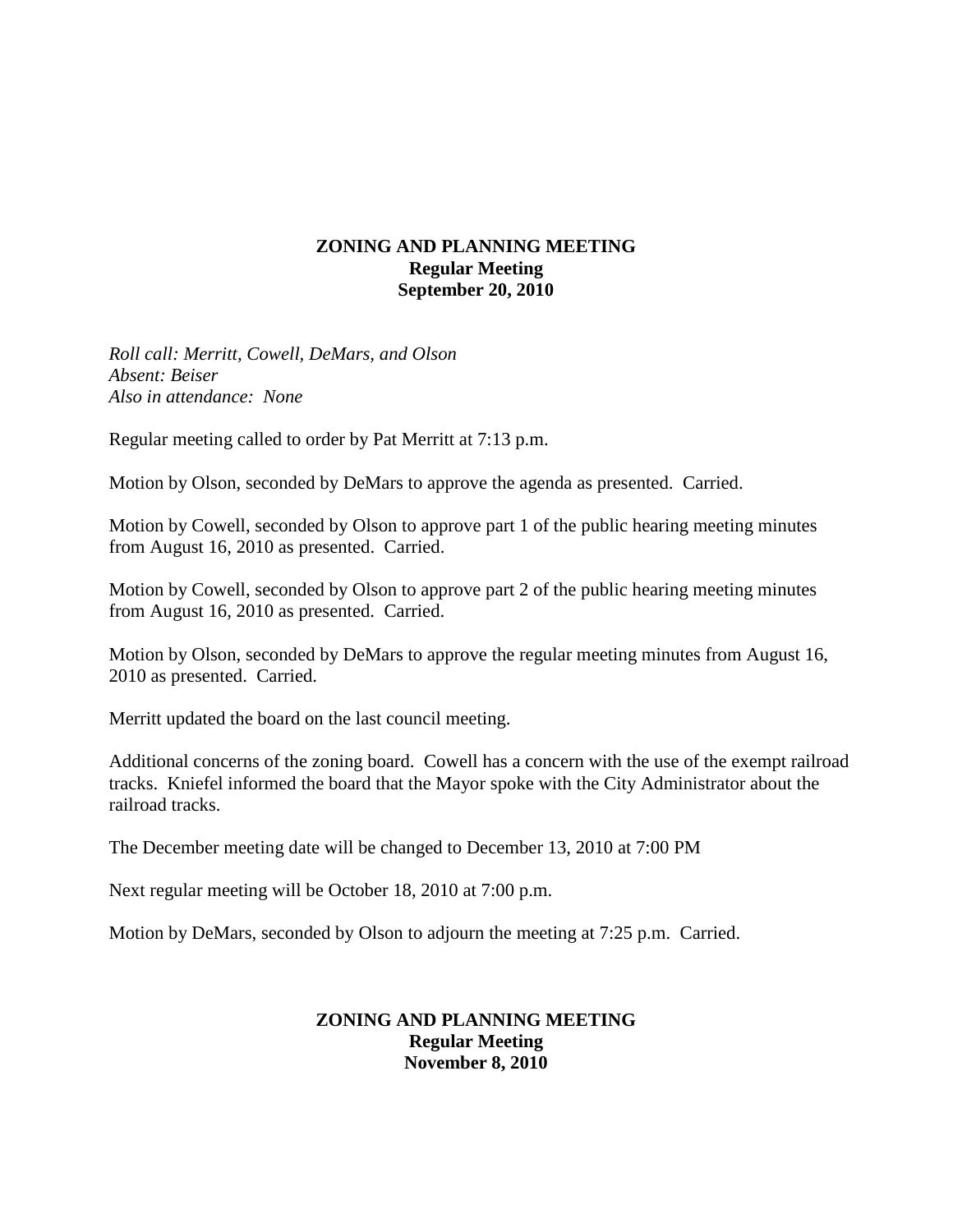### **ZONING AND PLANNING MEETING Regular Meeting September 20, 2010**

*Roll call: Merritt, Cowell, DeMars, and Olson Absent: Beiser Also in attendance: None*

Regular meeting called to order by Pat Merritt at 7:13 p.m.

Motion by Olson, seconded by DeMars to approve the agenda as presented. Carried.

Motion by Cowell, seconded by Olson to approve part 1 of the public hearing meeting minutes from August 16, 2010 as presented. Carried.

Motion by Cowell, seconded by Olson to approve part 2 of the public hearing meeting minutes from August 16, 2010 as presented. Carried.

Motion by Olson, seconded by DeMars to approve the regular meeting minutes from August 16, 2010 as presented. Carried.

Merritt updated the board on the last council meeting.

Additional concerns of the zoning board. Cowell has a concern with the use of the exempt railroad tracks. Kniefel informed the board that the Mayor spoke with the City Administrator about the railroad tracks.

The December meeting date will be changed to December 13, 2010 at 7:00 PM

Next regular meeting will be October 18, 2010 at 7:00 p.m.

Motion by DeMars, seconded by Olson to adjourn the meeting at 7:25 p.m. Carried.

#### **ZONING AND PLANNING MEETING Regular Meeting November 8, 2010**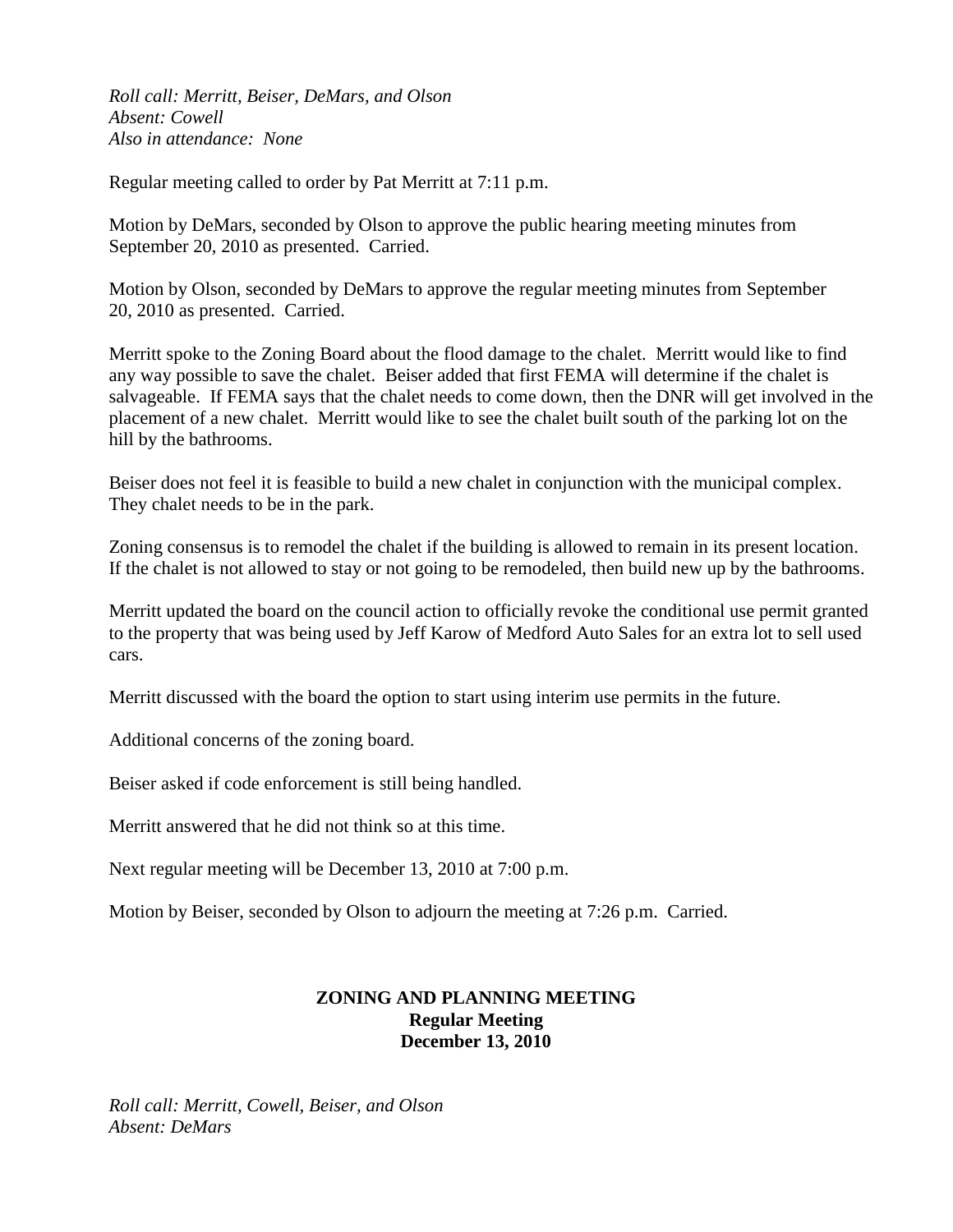*Roll call: Merritt, Beiser, DeMars, and Olson Absent: Cowell Also in attendance: None*

Regular meeting called to order by Pat Merritt at 7:11 p.m.

Motion by DeMars, seconded by Olson to approve the public hearing meeting minutes from September 20, 2010 as presented. Carried.

Motion by Olson, seconded by DeMars to approve the regular meeting minutes from September 20, 2010 as presented. Carried.

Merritt spoke to the Zoning Board about the flood damage to the chalet. Merritt would like to find any way possible to save the chalet. Beiser added that first FEMA will determine if the chalet is salvageable. If FEMA says that the chalet needs to come down, then the DNR will get involved in the placement of a new chalet. Merritt would like to see the chalet built south of the parking lot on the hill by the bathrooms.

Beiser does not feel it is feasible to build a new chalet in conjunction with the municipal complex. They chalet needs to be in the park.

Zoning consensus is to remodel the chalet if the building is allowed to remain in its present location. If the chalet is not allowed to stay or not going to be remodeled, then build new up by the bathrooms.

Merritt updated the board on the council action to officially revoke the conditional use permit granted to the property that was being used by Jeff Karow of Medford Auto Sales for an extra lot to sell used cars.

Merritt discussed with the board the option to start using interim use permits in the future.

Additional concerns of the zoning board.

Beiser asked if code enforcement is still being handled.

Merritt answered that he did not think so at this time.

Next regular meeting will be December 13, 2010 at 7:00 p.m.

Motion by Beiser, seconded by Olson to adjourn the meeting at 7:26 p.m. Carried.

# **ZONING AND PLANNING MEETING Regular Meeting December 13, 2010**

*Roll call: Merritt, Cowell, Beiser, and Olson Absent: DeMars*